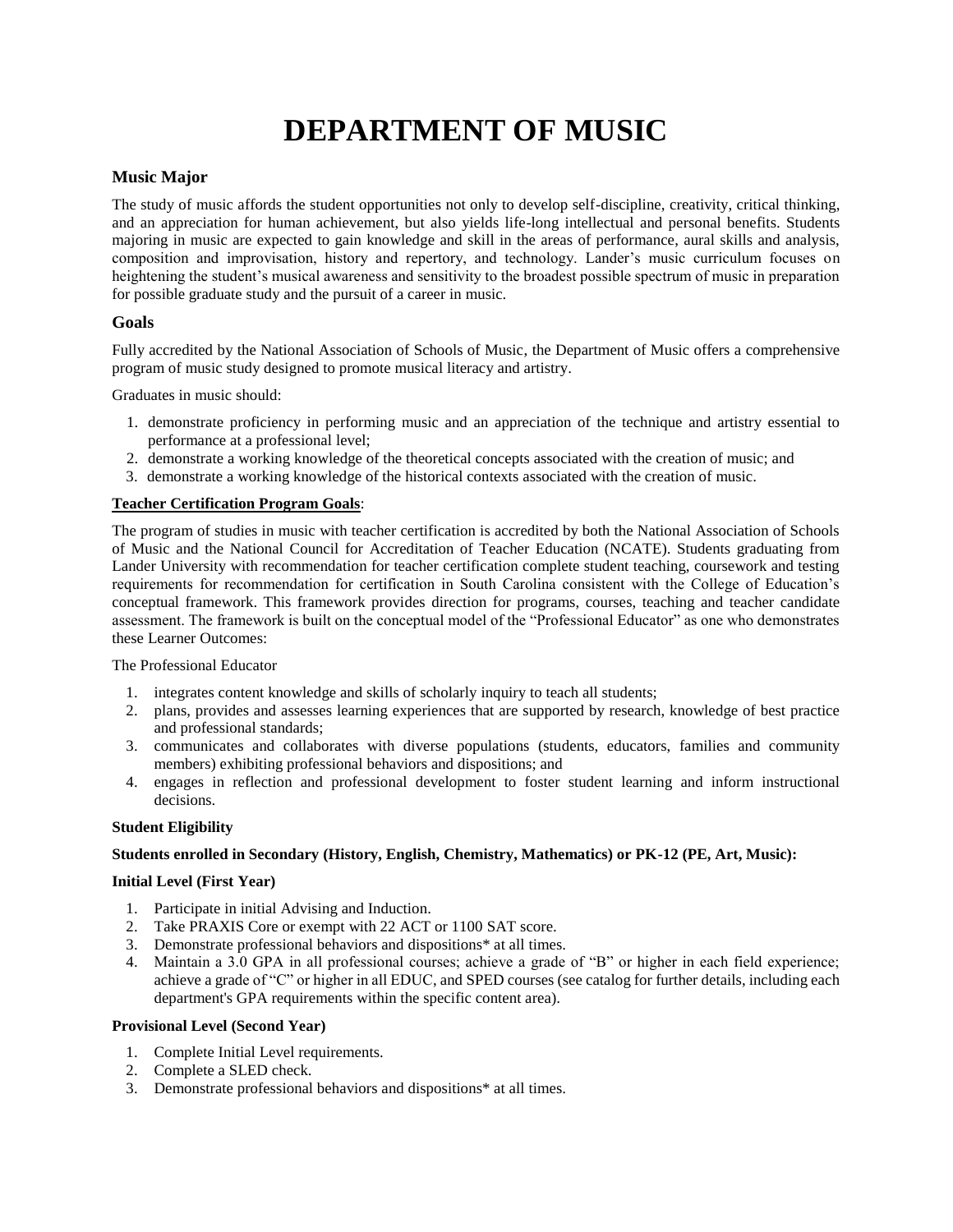# **DEPARTMENT OF MUSIC**

#### **Music Major**

The study of music affords the student opportunities not only to develop self-discipline, creativity, critical thinking, and an appreciation for human achievement, but also yields life-long intellectual and personal benefits. Students majoring in music are expected to gain knowledge and skill in the areas of performance, aural skills and analysis, composition and improvisation, history and repertory, and technology. Lander's music curriculum focuses on heightening the student's musical awareness and sensitivity to the broadest possible spectrum of music in preparation for possible graduate study and the pursuit of a career in music.

#### **Goals**

Fully accredited by the National Association of Schools of Music, the Department of Music offers a comprehensive program of music study designed to promote musical literacy and artistry.

Graduates in music should:

- 1. demonstrate proficiency in performing music and an appreciation of the technique and artistry essential to performance at a professional level;
- 2. demonstrate a working knowledge of the theoretical concepts associated with the creation of music; and
- 3. demonstrate a working knowledge of the historical contexts associated with the creation of music.

#### **Teacher Certification Program Goals**:

The program of studies in music with teacher certification is accredited by both the National Association of Schools of Music and the National Council for Accreditation of Teacher Education (NCATE). Students graduating from Lander University with recommendation for teacher certification complete student teaching, coursework and testing requirements for recommendation for certification in South Carolina consistent with the College of Education's conceptual framework. This framework provides direction for programs, courses, teaching and teacher candidate assessment. The framework is built on the conceptual model of the "Professional Educator" as one who demonstrates these Learner Outcomes:

The Professional Educator

- 1. integrates content knowledge and skills of scholarly inquiry to teach all students;
- 2. plans, provides and assesses learning experiences that are supported by research, knowledge of best practice and professional standards;
- 3. communicates and collaborates with diverse populations (students, educators, families and community members) exhibiting professional behaviors and dispositions; and
- 4. engages in reflection and professional development to foster student learning and inform instructional decisions.

#### **Student Eligibility**

#### **Students enrolled in Secondary (History, English, Chemistry, Mathematics) or PK-12 (PE, Art, Music):**

#### **Initial Level (First Year)**

- 1. Participate in initial Advising and Induction.
- 2. Take PRAXIS Core or exempt with 22 ACT or 1100 SAT score.
- 3. Demonstrate professional behaviors and dispositions\* at all times.
- 4. Maintain a 3.0 GPA in all professional courses; achieve a grade of "B" or higher in each field experience; achieve a grade of "C" or higher in all EDUC, and SPED courses (see catalog for further details, including each department's GPA requirements within the specific content area).

#### **Provisional Level (Second Year)**

- 1. Complete Initial Level requirements.
- 2. Complete a SLED check.
- 3. Demonstrate professional behaviors and dispositions\* at all times.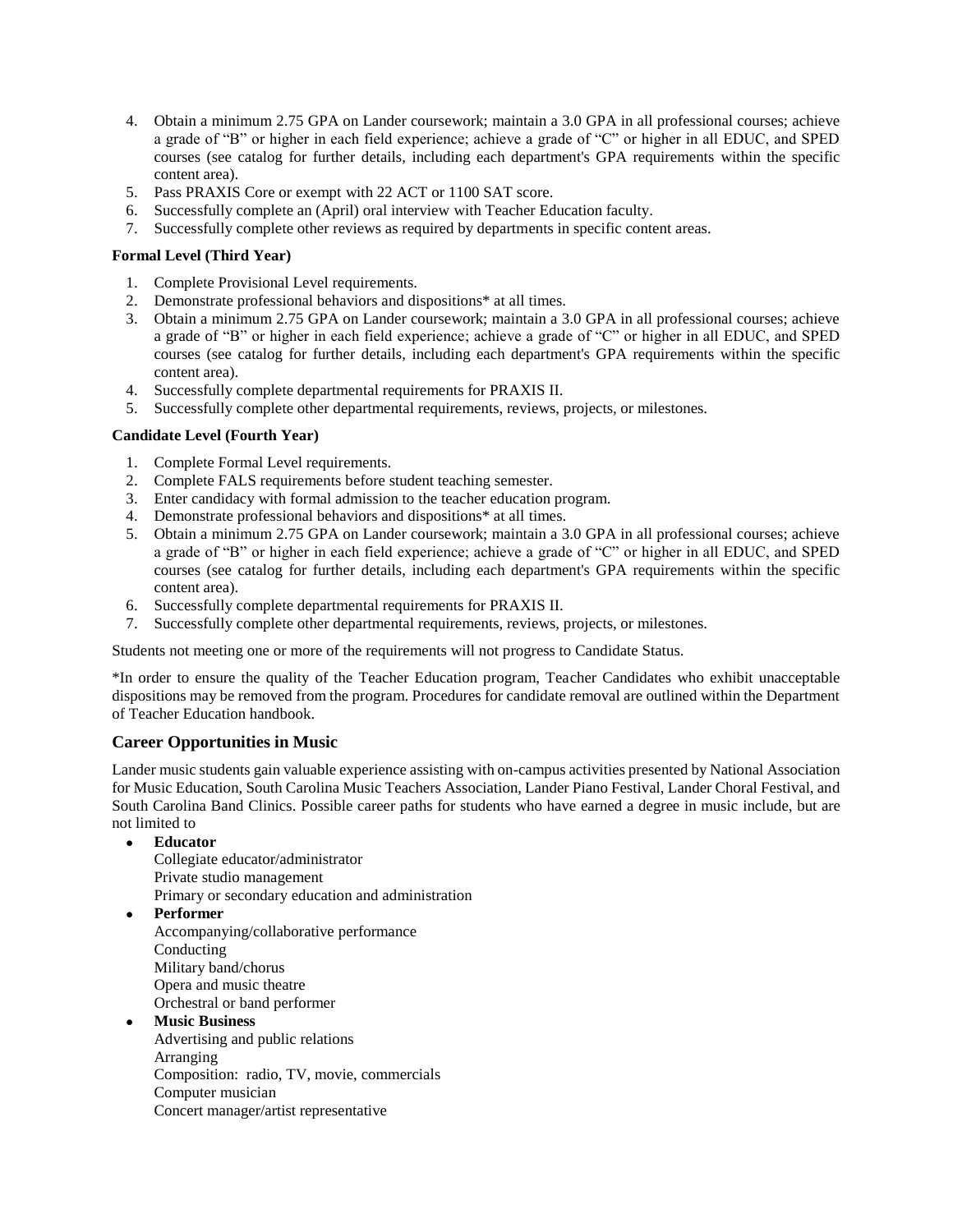- 4. Obtain a minimum 2.75 GPA on Lander coursework; maintain a 3.0 GPA in all professional courses; achieve a grade of "B" or higher in each field experience; achieve a grade of "C" or higher in all EDUC, and SPED courses (see catalog for further details, including each department's GPA requirements within the specific content area).
- 5. Pass PRAXIS Core or exempt with 22 ACT or 1100 SAT score.
- 6. Successfully complete an (April) oral interview with Teacher Education faculty.
- 7. Successfully complete other reviews as required by departments in specific content areas.

#### **Formal Level (Third Year)**

- 1. Complete Provisional Level requirements.
- 2. Demonstrate professional behaviors and dispositions\* at all times.
- 3. Obtain a minimum 2.75 GPA on Lander coursework; maintain a 3.0 GPA in all professional courses; achieve a grade of "B" or higher in each field experience; achieve a grade of "C" or higher in all EDUC, and SPED courses (see catalog for further details, including each department's GPA requirements within the specific content area).
- 4. Successfully complete departmental requirements for PRAXIS II.
- 5. Successfully complete other departmental requirements, reviews, projects, or milestones.

#### **Candidate Level (Fourth Year)**

- 1. Complete Formal Level requirements.
- 2. Complete FALS requirements before student teaching semester.
- 3. Enter candidacy with formal admission to the teacher education program.
- 4. Demonstrate professional behaviors and dispositions\* at all times.
- 5. Obtain a minimum 2.75 GPA on Lander coursework; maintain a 3.0 GPA in all professional courses; achieve a grade of "B" or higher in each field experience; achieve a grade of "C" or higher in all EDUC, and SPED courses (see catalog for further details, including each department's GPA requirements within the specific content area).
- 6. Successfully complete departmental requirements for PRAXIS II.
- 7. Successfully complete other departmental requirements, reviews, projects, or milestones.

Students not meeting one or more of the requirements will not progress to Candidate Status.

\*In order to ensure the quality of the Teacher Education program, Teacher Candidates who exhibit unacceptable dispositions may be removed from the program. Procedures for candidate removal are outlined within the Department of Teacher Education handbook.

#### **Career Opportunities in Music**

Lander music students gain valuable experience assisting with on-campus activities presented by National Association for Music Education, South Carolina Music Teachers Association, Lander Piano Festival, Lander Choral Festival, and South Carolina Band Clinics. Possible career paths for students who have earned a degree in music include, but are not limited to

#### **Educator**

Collegiate educator/administrator Private studio management Primary or secondary education and administration

**Performer**

Accompanying/collaborative performance Conducting Military band/chorus Opera and music theatre Orchestral or band performer

**Music Business**

Advertising and public relations Arranging Composition: radio, TV, movie, commercials Computer musician Concert manager/artist representative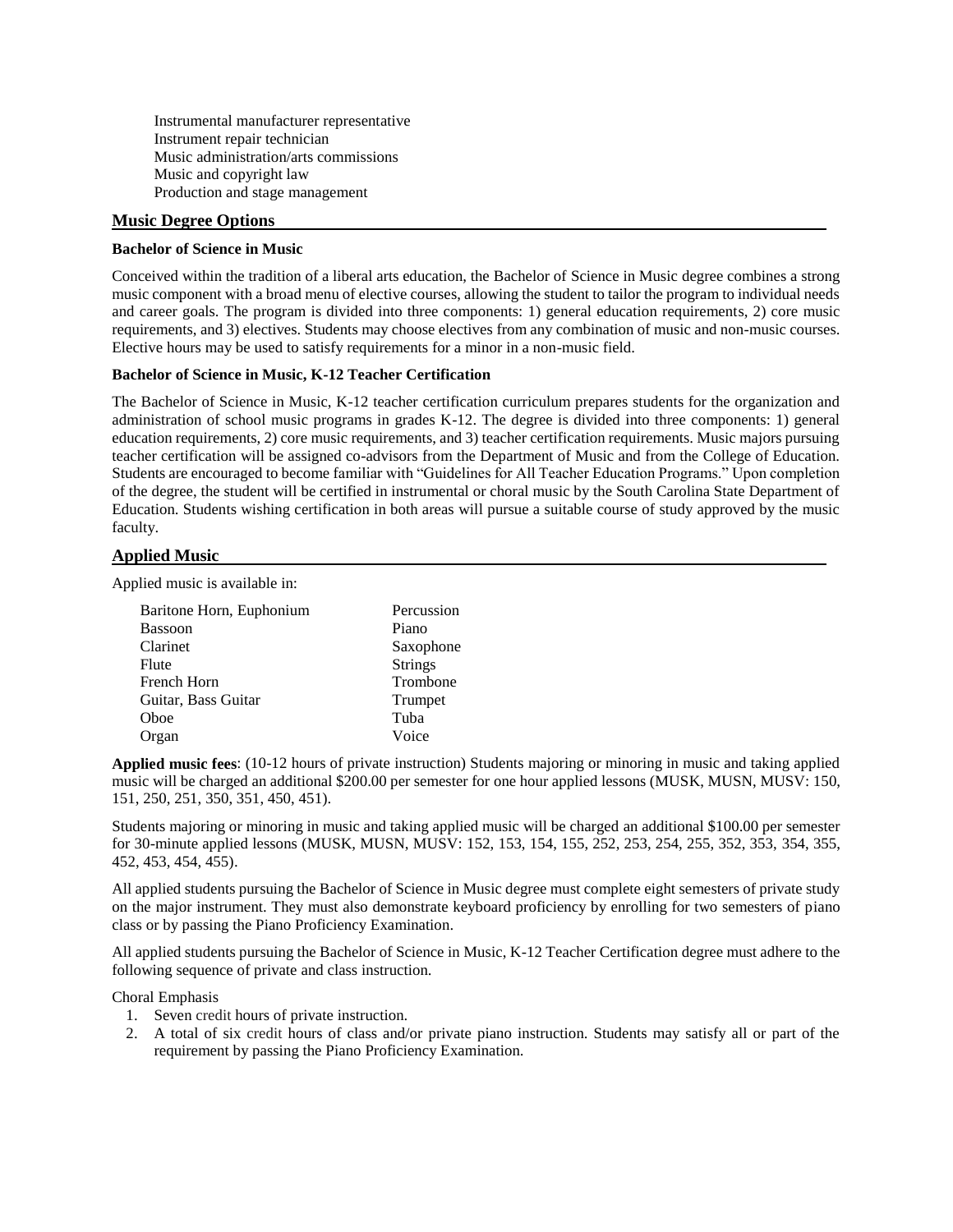Instrumental manufacturer representative Instrument repair technician Music administration/arts commissions Music and copyright law Production and stage management

#### **Music Degree Options**

#### **Bachelor of Science in Music**

Conceived within the tradition of a liberal arts education, the Bachelor of Science in Music degree combines a strong music component with a broad menu of elective courses, allowing the student to tailor the program to individual needs and career goals. The program is divided into three components: 1) general education requirements, 2) core music requirements, and 3) electives. Students may choose electives from any combination of music and non-music courses. Elective hours may be used to satisfy requirements for a minor in a non-music field.

#### **Bachelor of Science in Music, K-12 Teacher Certification**

The Bachelor of Science in Music, K-12 teacher certification curriculum prepares students for the organization and administration of school music programs in grades K-12. The degree is divided into three components: 1) general education requirements, 2) core music requirements, and 3) teacher certification requirements. Music majors pursuing teacher certification will be assigned co-advisors from the Department of Music and from the College of Education. Students are encouraged to become familiar with "Guidelines for All Teacher Education Programs." Upon completion of the degree, the student will be certified in instrumental or choral music by the South Carolina State Department of Education. Students wishing certification in both areas will pursue a suitable course of study approved by the music faculty.

#### **Applied Music**

Applied music is available in:

| Baritone Horn, Euphonium | Percussion     |
|--------------------------|----------------|
| <b>Bassoon</b>           | Piano          |
| Clarinet                 | Saxophone      |
| Flute                    | <b>Strings</b> |
| French Horn              | Trombone       |
| Guitar, Bass Guitar      | Trumpet        |
| Oboe                     | Tuba           |
| Organ                    | Voice          |

**Applied music fees**: (10-12 hours of private instruction) Students majoring or minoring in music and taking applied music will be charged an additional \$200.00 per semester for one hour applied lessons (MUSK, MUSN, MUSV: 150, 151, 250, 251, 350, 351, 450, 451).

Students majoring or minoring in music and taking applied music will be charged an additional \$100.00 per semester for 30-minute applied lessons (MUSK, MUSN, MUSV: 152, 153, 154, 155, 252, 253, 254, 255, 352, 353, 354, 355, 452, 453, 454, 455).

All applied students pursuing the Bachelor of Science in Music degree must complete eight semesters of private study on the major instrument. They must also demonstrate keyboard proficiency by enrolling for two semesters of piano class or by passing the Piano Proficiency Examination.

All applied students pursuing the Bachelor of Science in Music, K-12 Teacher Certification degree must adhere to the following sequence of private and class instruction.

Choral Emphasis

- 1. Seven credit hours of private instruction.
- 2. A total of six credit hours of class and/or private piano instruction. Students may satisfy all or part of the requirement by passing the Piano Proficiency Examination.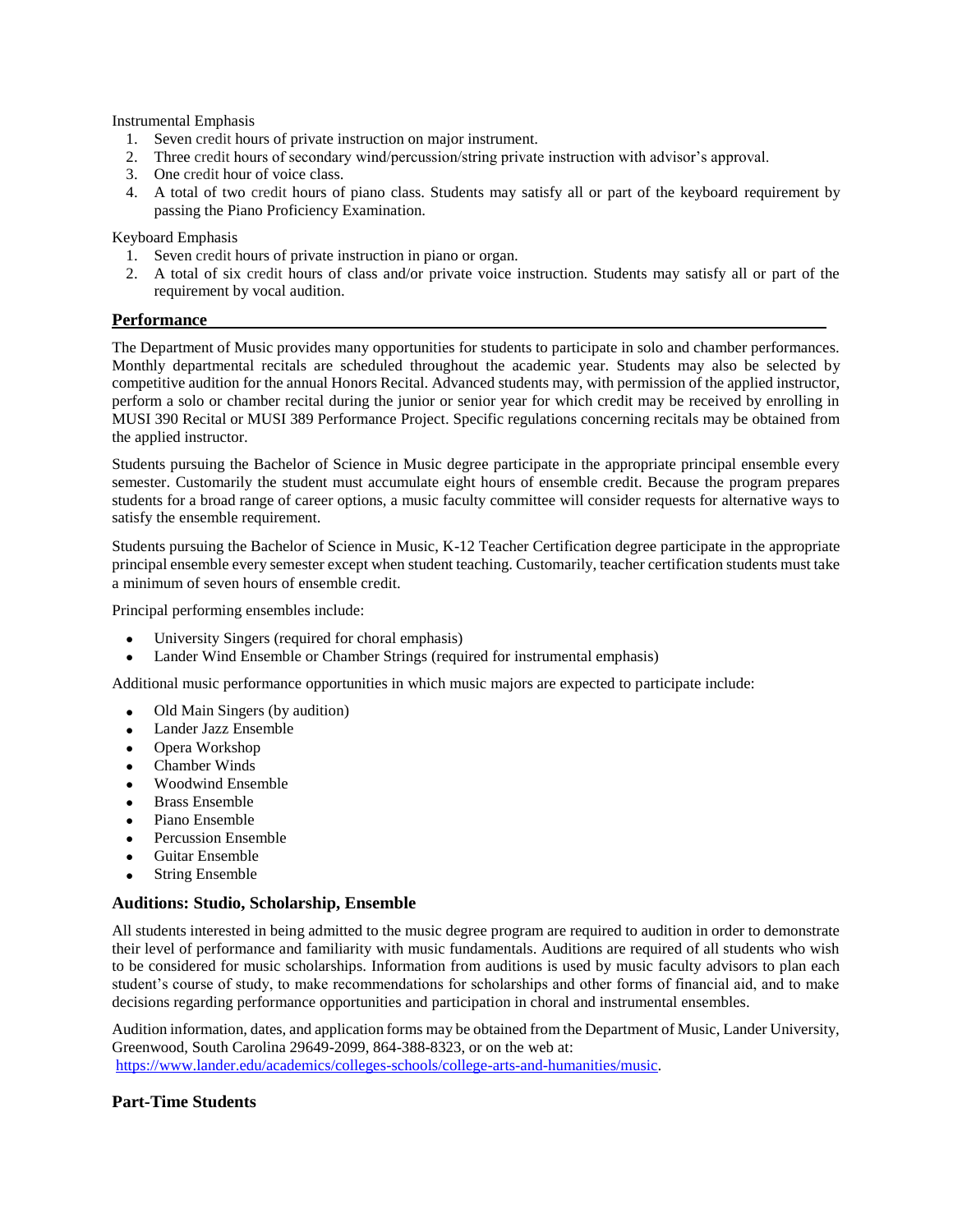Instrumental Emphasis

- 1. Seven credit hours of private instruction on major instrument.
- 2. Three credit hours of secondary wind/percussion/string private instruction with advisor's approval.
- 3. One credit hour of voice class.
- 4. A total of two credit hours of piano class. Students may satisfy all or part of the keyboard requirement by passing the Piano Proficiency Examination.

Keyboard Emphasis

- 1. Seven credit hours of private instruction in piano or organ.
- 2. A total of six credit hours of class and/or private voice instruction. Students may satisfy all or part of the requirement by vocal audition.

#### **Performance**

The Department of Music provides many opportunities for students to participate in solo and chamber performances. Monthly departmental recitals are scheduled throughout the academic year. Students may also be selected by competitive audition for the annual Honors Recital. Advanced students may, with permission of the applied instructor, perform a solo or chamber recital during the junior or senior year for which credit may be received by enrolling in MUSI 390 Recital or MUSI 389 Performance Project. Specific regulations concerning recitals may be obtained from the applied instructor.

Students pursuing the Bachelor of Science in Music degree participate in the appropriate principal ensemble every semester. Customarily the student must accumulate eight hours of ensemble credit. Because the program prepares students for a broad range of career options, a music faculty committee will consider requests for alternative ways to satisfy the ensemble requirement.

Students pursuing the Bachelor of Science in Music, K-12 Teacher Certification degree participate in the appropriate principal ensemble every semester except when student teaching. Customarily, teacher certification students must take a minimum of seven hours of ensemble credit.

Principal performing ensembles include:

- University Singers (required for choral emphasis)
- Lander Wind Ensemble or Chamber Strings (required for instrumental emphasis)

Additional music performance opportunities in which music majors are expected to participate include:

- Old Main Singers (by audition)
- Lander Jazz Ensemble
- Opera Workshop
- Chamber Winds
- Woodwind Ensemble
- Brass Ensemble
- Piano Ensemble
- Percussion Ensemble
- Guitar Ensemble
- String Ensemble

#### **Auditions: Studio, Scholarship, Ensemble**

All students interested in being admitted to the music degree program are required to audition in order to demonstrate their level of performance and familiarity with music fundamentals. Auditions are required of all students who wish to be considered for music scholarships. Information from auditions is used by music faculty advisors to plan each student's course of study, to make recommendations for scholarships and other forms of financial aid, and to make decisions regarding performance opportunities and participation in choral and instrumental ensembles.

Audition information, dates, and application forms may be obtained from the Department of Music, Lander University, Greenwood, South Carolina 29649-2099, 864-388-8323, or on the web at: [https://www.lander.edu/academics/colleges-schools/college-arts-and-humanities/music.](https://www.lander.edu/academics/colleges-schools/college-arts-and-humanities/music)

#### **Part-Time Students**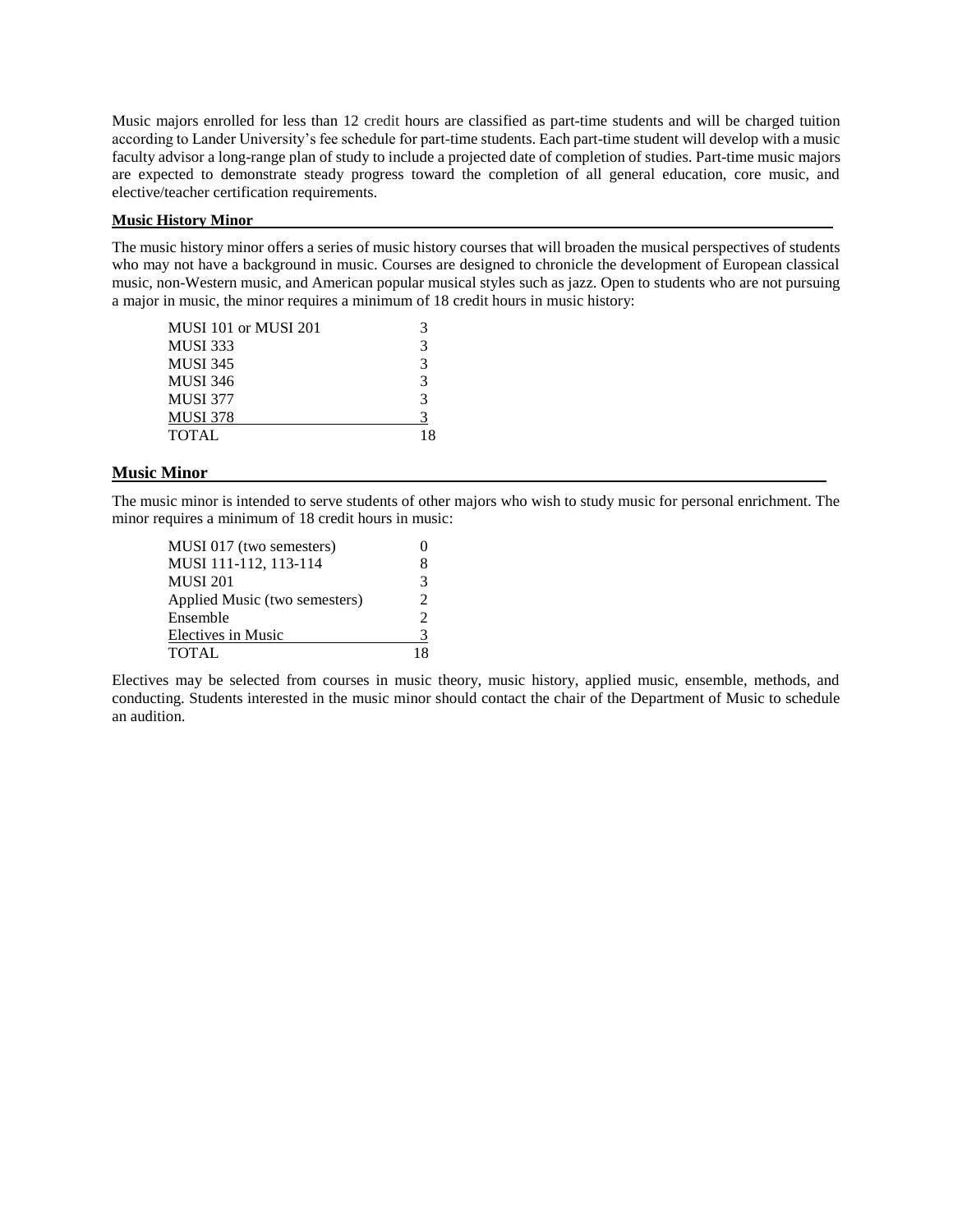Music majors enrolled for less than 12 credit hours are classified as part-time students and will be charged tuition according to Lander University's fee schedule for part-time students. Each part-time student will develop with a music faculty advisor a long-range plan of study to include a projected date of completion of studies. Part-time music majors are expected to demonstrate steady progress toward the completion of all general education, core music, and elective/teacher certification requirements.

#### **Music History Minor**

The music history minor offers a series of music history courses that will broaden the musical perspectives of students who may not have a background in music. Courses are designed to chronicle the development of European classical music, non-Western music, and American popular musical styles such as jazz. Open to students who are not pursuing a major in music, the minor requires a minimum of 18 credit hours in music history:

| MUSI 101 or MUSI 201 |               |
|----------------------|---------------|
| <b>MUSI 333</b>      | 3             |
| <b>MUSI 345</b>      | $\mathcal{R}$ |
| <b>MUSI 346</b>      | $\mathcal{R}$ |
| <b>MUSI 377</b>      | $\mathcal{R}$ |
| <b>MUSI 378</b>      | 3             |
| <b>TOTAL</b>         | 18            |

#### **Music Minor**

The music minor is intended to serve students of other majors who wish to study music for personal enrichment. The minor requires a minimum of 18 credit hours in music:

| MUSI 017 (two semesters)      |                             |
|-------------------------------|-----------------------------|
| MUSI 111-112, 113-114         | 8                           |
| <b>MUSI 201</b>               | 3                           |
| Applied Music (two semesters) | $\mathcal{D}_{\mathcal{L}}$ |
| Ensemble                      | $\mathcal{L}$               |
| Electives in Music            | 3                           |
| <b>TOTAL</b>                  |                             |

Electives may be selected from courses in music theory, music history, applied music, ensemble, methods, and conducting. Students interested in the music minor should contact the chair of the Department of Music to schedule an audition.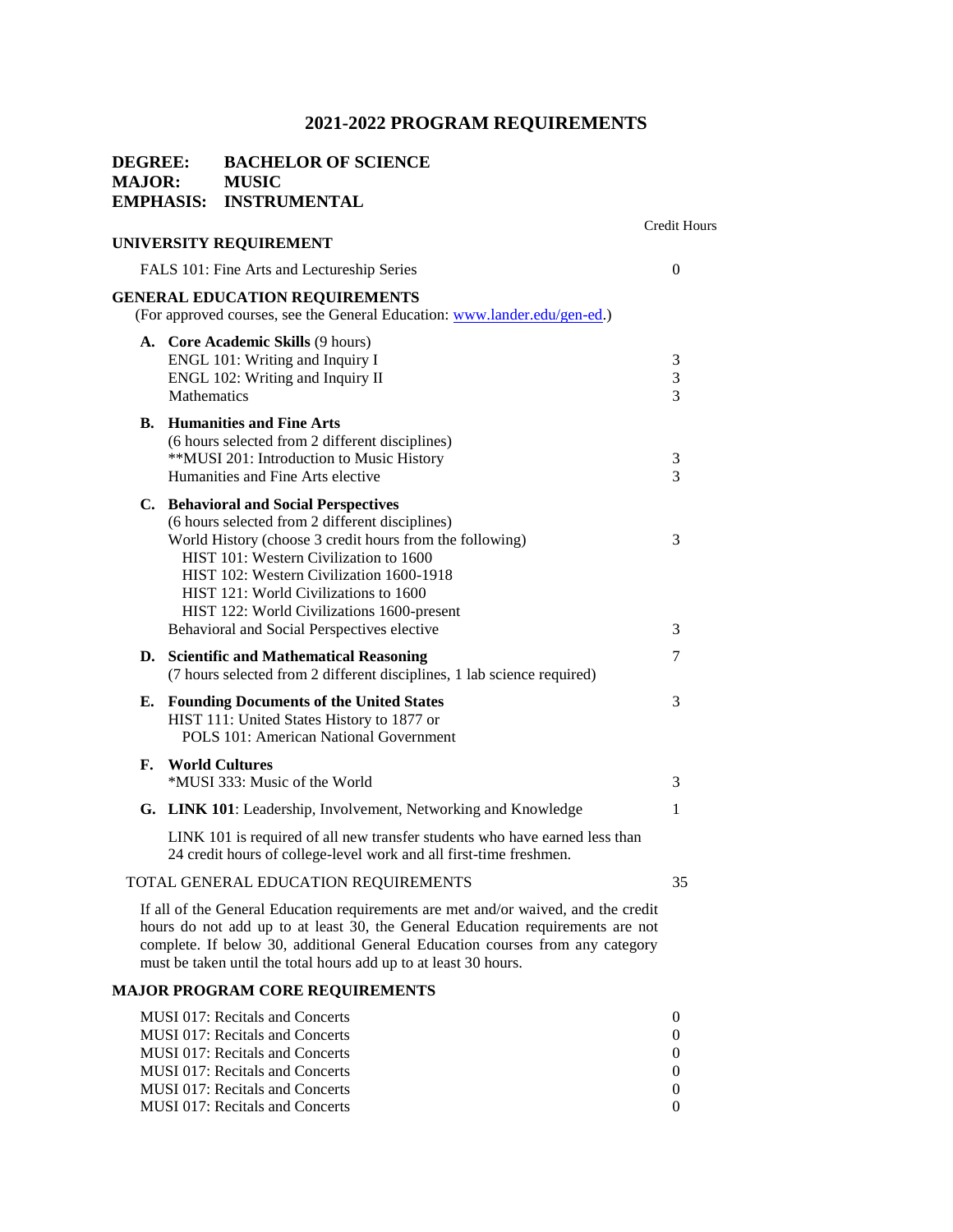#### **DEGREE: BACHELOR OF SCIENCE MAJOR: MUSIC EMPHASIS: INSTRUMENTAL**

#### **UNIVERSITY REQUIREMENT**

Credit Hours

|    | FALS 101: Fine Arts and Lectureship Series                                                                                                                                                                                                                                                                                                                                       |                         |
|----|----------------------------------------------------------------------------------------------------------------------------------------------------------------------------------------------------------------------------------------------------------------------------------------------------------------------------------------------------------------------------------|-------------------------|
|    | <b>GENERAL EDUCATION REQUIREMENTS</b><br>(For approved courses, see the General Education: www.lander.edu/gen-ed.)                                                                                                                                                                                                                                                               |                         |
|    | A. Core Academic Skills (9 hours)<br>ENGL 101: Writing and Inquiry I<br>ENGL 102: Writing and Inquiry II<br>Mathematics                                                                                                                                                                                                                                                          | 3<br>3<br>3             |
|    | <b>B.</b> Humanities and Fine Arts<br>(6 hours selected from 2 different disciplines)<br>**MUSI 201: Introduction to Music History<br>Humanities and Fine Arts elective                                                                                                                                                                                                          | 3<br>3                  |
|    | C. Behavioral and Social Perspectives<br>(6 hours selected from 2 different disciplines)<br>World History (choose 3 credit hours from the following)<br>HIST 101: Western Civilization to 1600<br>HIST 102: Western Civilization 1600-1918<br>HIST 121: World Civilizations to 1600<br>HIST 122: World Civilizations 1600-present<br>Behavioral and Social Perspectives elective | 3<br>3                  |
|    | D. Scientific and Mathematical Reasoning<br>(7 hours selected from 2 different disciplines, 1 lab science required)                                                                                                                                                                                                                                                              | 7                       |
|    | <b>E.</b> Founding Documents of the United States<br>HIST 111: United States History to 1877 or<br><b>POLS 101: American National Government</b>                                                                                                                                                                                                                                 | 3                       |
| F. | <b>World Cultures</b><br>*MUSI 333: Music of the World                                                                                                                                                                                                                                                                                                                           | 3                       |
|    | G. LINK 101: Leadership, Involvement, Networking and Knowledge                                                                                                                                                                                                                                                                                                                   | 1                       |
|    | LINK 101 is required of all new transfer students who have earned less than<br>24 credit hours of college-level work and all first-time freshmen.                                                                                                                                                                                                                                |                         |
|    | TOTAL GENERAL EDUCATION REQUIREMENTS                                                                                                                                                                                                                                                                                                                                             | 35                      |
|    | If all of the General Education requirements are met and/or waived, and the credit<br>hours do not add up to at least 30, the General Education requirements are not<br>complete. If below 30, additional General Education courses from any category<br>must be taken until the total hours add up to at least 30 hours.                                                        |                         |
|    | <b>MAJOR PROGRAM CORE REQUIREMENTS</b>                                                                                                                                                                                                                                                                                                                                           |                         |
|    | MUSI 017: Recitals and Concerts<br><b>MUSI 017: Recitals and Concerts</b><br>MUSI 017: Recitals and Concerts<br>MUSI 017: Recitals and Concerts                                                                                                                                                                                                                                  | 0<br>0<br>$\theta$<br>0 |

MUSI 017: Recitals and Concerts 0<br>MUSI 017: Recitals and Concerts 0

MUSI 017: Recitals and Concerts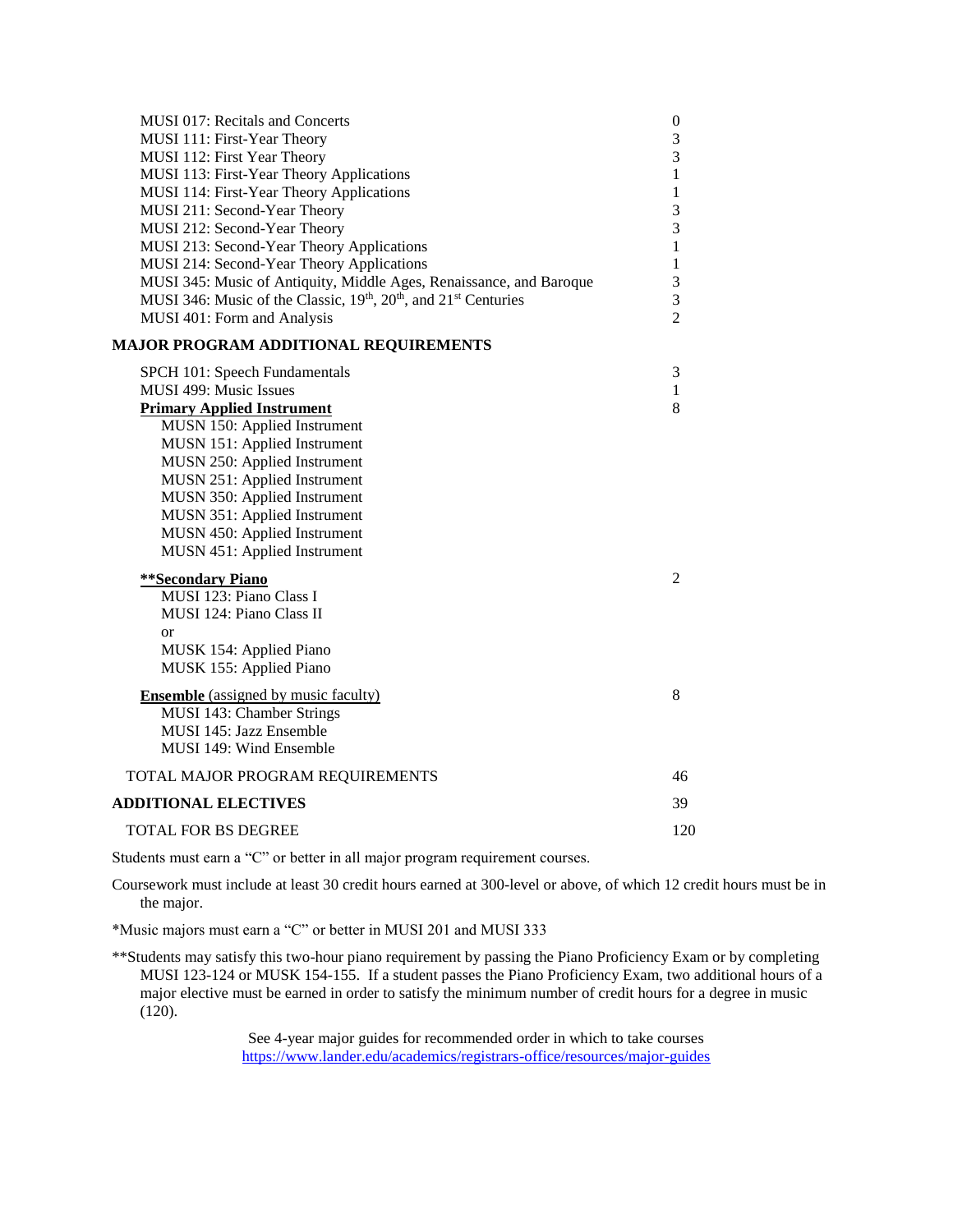| MUSI 017: Recitals and Concerts                                                                      | $\boldsymbol{0}$ |
|------------------------------------------------------------------------------------------------------|------------------|
| MUSI 111: First-Year Theory                                                                          | 3                |
| MUSI 112: First Year Theory                                                                          | 3                |
| MUSI 113: First-Year Theory Applications                                                             | $\mathbf{1}$     |
| MUSI 114: First-Year Theory Applications                                                             | 1                |
| MUSI 211: Second-Year Theory                                                                         | 3                |
| MUSI 212: Second-Year Theory                                                                         | 3                |
| MUSI 213: Second-Year Theory Applications                                                            | $\mathbf{1}$     |
| MUSI 214: Second-Year Theory Applications                                                            | $\mathbf{1}$     |
| MUSI 345: Music of Antiquity, Middle Ages, Renaissance, and Baroque                                  | 3                |
| MUSI 346: Music of the Classic, 19 <sup>th</sup> , 20 <sup>th</sup> , and 21 <sup>st</sup> Centuries | 3                |
| MUSI 401: Form and Analysis                                                                          | $\overline{2}$   |
| <b>MAJOR PROGRAM ADDITIONAL REQUIREMENTS</b>                                                         |                  |
| SPCH 101: Speech Fundamentals                                                                        | 3                |
| MUSI 499: Music Issues                                                                               | $\mathbf{1}$     |
| <b>Primary Applied Instrument</b>                                                                    | 8                |
| MUSN 150: Applied Instrument                                                                         |                  |
| MUSN 151: Applied Instrument                                                                         |                  |
| MUSN 250: Applied Instrument                                                                         |                  |
| MUSN 251: Applied Instrument                                                                         |                  |
| MUSN 350: Applied Instrument                                                                         |                  |
| MUSN 351: Applied Instrument                                                                         |                  |
| MUSN 450: Applied Instrument                                                                         |                  |
| MUSN 451: Applied Instrument                                                                         |                  |
| <b>**Secondary Piano</b>                                                                             | 2                |
| MUSI 123: Piano Class I                                                                              |                  |
| MUSI 124: Piano Class II                                                                             |                  |
| <sub>or</sub>                                                                                        |                  |
| MUSK 154: Applied Piano                                                                              |                  |
| MUSK 155: Applied Piano                                                                              |                  |
| <b>Ensemble</b> (assigned by music faculty)                                                          | 8                |
| MUSI 143: Chamber Strings                                                                            |                  |
| MUSI 145: Jazz Ensemble                                                                              |                  |
| MUSI 149: Wind Ensemble                                                                              |                  |
| TOTAL MAJOR PROGRAM REQUIREMENTS                                                                     | 46               |
| <b>ADDITIONAL ELECTIVES</b>                                                                          | 39               |
| TOTAL FOR BS DEGREE                                                                                  | 120              |
|                                                                                                      |                  |

Coursework must include at least 30 credit hours earned at 300-level or above, of which 12 credit hours must be in the major.

\*Music majors must earn a "C" or better in MUSI 201 and MUSI 333

\*\*Students may satisfy this two-hour piano requirement by passing the Piano Proficiency Exam or by completing MUSI 123-124 or MUSK 154-155. If a student passes the Piano Proficiency Exam, two additional hours of a major elective must be earned in order to satisfy the minimum number of credit hours for a degree in music (120).

> See 4-year major guides for recommended order in which to take courses <https://www.lander.edu/academics/registrars-office/resources/major-guides>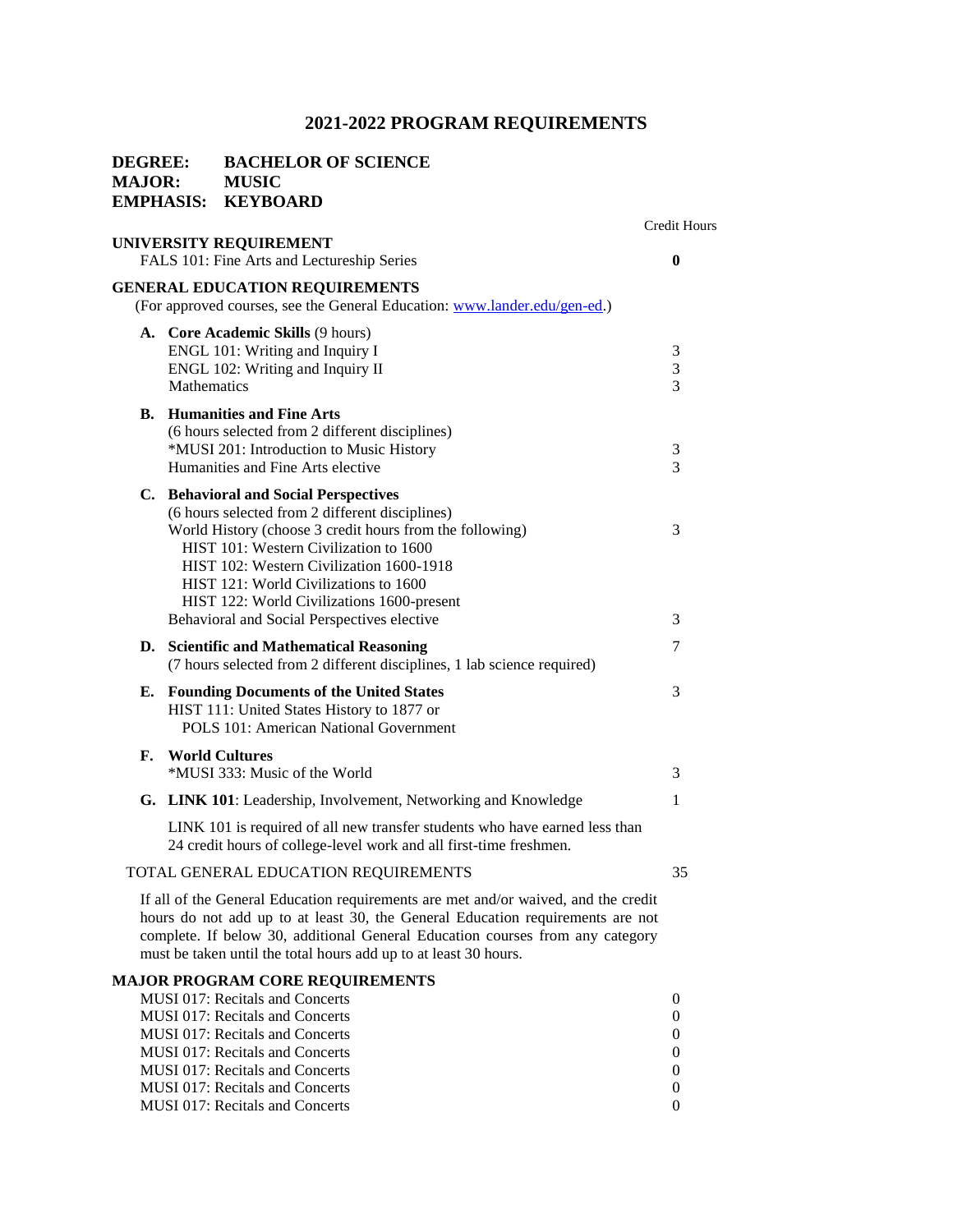#### **DEGREE: BACHELOR OF SCIENCE MAJOR: MUSIC EMPHASIS: KEYBOARD**

#### Credit Hours **UNIVERSITY REQUIREMENT**  FALS 101: Fine Arts and Lectureship Series **0 GENERAL EDUCATION REQUIREMENTS** (For approved courses, see the General Education: [www.lander.edu/gen-ed.\)](http://www.lander.edu/gen-ed) **A. Core Academic Skills** (9 hours) ENGL 101: Writing and Inquiry I 3 ENGL 102: Writing and Inquiry II 3 Mathematics 3 **B. Humanities and Fine Arts** (6 hours selected from 2 different disciplines) \*MUSI 201: Introduction to Music History 3 Humanities and Fine Arts elective 3 **C. Behavioral and Social Perspectives** (6 hours selected from 2 different disciplines) World History (choose 3 credit hours from the following) 3 HIST 101: Western Civilization to 1600 HIST 102: Western Civilization 1600-1918 HIST 121: World Civilizations to 1600 HIST 122: World Civilizations 1600-present Behavioral and Social Perspectives elective 3 **D. Scientific and Mathematical Reasoning** 7 (7 hours selected from 2 different disciplines, 1 lab science required) **E. Founding Documents of the United States** 3 HIST 111: United States History to 1877 or POLS 101: American National Government **F. World Cultures**  \*MUSI 333: Music of the World 3 **G. LINK 101**: Leadership, Involvement, Networking and Knowledge 1 LINK 101 is required of all new transfer students who have earned less than 24 credit hours of college-level work and all first-time freshmen. TOTAL GENERAL EDUCATION REQUIREMENTS 35 If all of the General Education requirements are met and/or waived, and the credit hours do not add up to at least 30, the General Education requirements are not complete. If below 30, additional General Education courses from any category must be taken until the total hours add up to at least 30 hours. **MAJOR PROGRAM CORE REQUIREMENTS**

| <b>MUSI 017: Recitals and Concerts</b> |          |
|----------------------------------------|----------|
| <b>MUSI 017: Recitals and Concerts</b> |          |
| MUSI 017: Recitals and Concerts        |          |
| MUSI 017: Recitals and Concerts        | $\Omega$ |
| MUSI 017: Recitals and Concerts        |          |
| MUSI 017: Recitals and Concerts        |          |
| <b>MUSI 017: Recitals and Concerts</b> |          |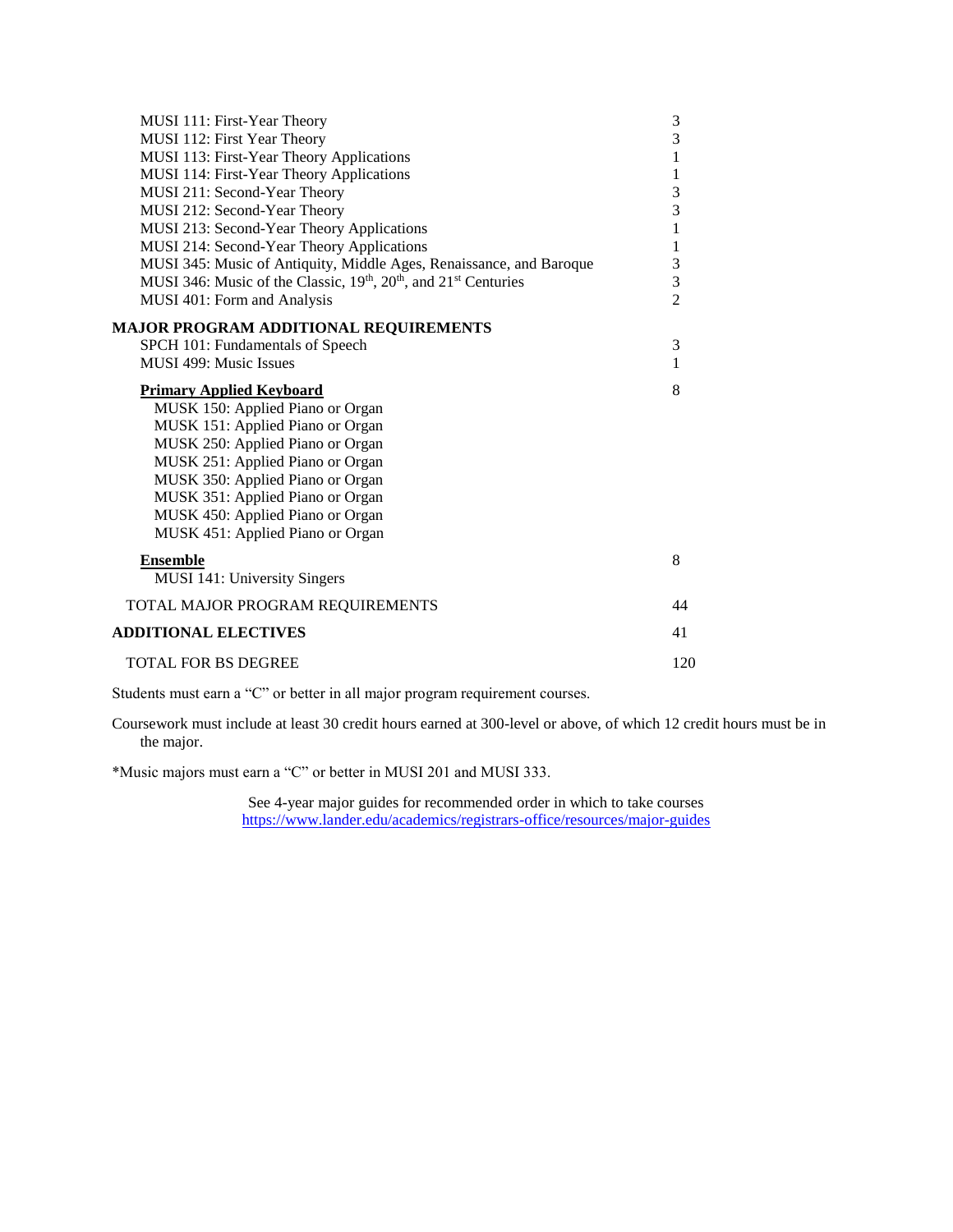| MUSI 111: First-Year Theory                                         | $\mathfrak{Z}$ |
|---------------------------------------------------------------------|----------------|
| MUSI 112: First Year Theory                                         | 3              |
| MUSI 113: First-Year Theory Applications                            | $\mathbf{1}$   |
| MUSI 114: First-Year Theory Applications                            | 1              |
| MUSI 211: Second-Year Theory                                        | 3              |
| MUSI 212: Second-Year Theory                                        | $\overline{3}$ |
| MUSI 213: Second-Year Theory Applications                           | $\,1$          |
| MUSI 214: Second-Year Theory Applications                           | $\mathbf{1}$   |
| MUSI 345: Music of Antiquity, Middle Ages, Renaissance, and Baroque | $\frac{3}{3}$  |
| MUSI 346: Music of the Classic, 19th, 20th, and 21st Centuries      |                |
| MUSI 401: Form and Analysis                                         | $\overline{2}$ |
| <b>MAJOR PROGRAM ADDITIONAL REQUIREMENTS</b>                        |                |
| SPCH 101: Fundamentals of Speech                                    | 3              |
| <b>MUSI 499: Music Issues</b>                                       | 1              |
|                                                                     |                |
| <b>Primary Applied Keyboard</b>                                     | 8              |
| MUSK 150: Applied Piano or Organ                                    |                |
| MUSK 151: Applied Piano or Organ                                    |                |
| MUSK 250: Applied Piano or Organ                                    |                |
| MUSK 251: Applied Piano or Organ                                    |                |
| MUSK 350: Applied Piano or Organ                                    |                |
| MUSK 351: Applied Piano or Organ                                    |                |
| MUSK 450: Applied Piano or Organ                                    |                |
| MUSK 451: Applied Piano or Organ                                    |                |
| <b>Ensemble</b>                                                     | 8              |
| <b>MUSI 141: University Singers</b>                                 |                |
| TOTAL MAJOR PROGRAM REQUIREMENTS                                    | 44             |
| <b>ADDITIONAL ELECTIVES</b>                                         | 41             |
| <b>TOTAL FOR BS DEGREE</b>                                          | 120            |
|                                                                     |                |

Coursework must include at least 30 credit hours earned at 300-level or above, of which 12 credit hours must be in the major.

\*Music majors must earn a "C" or better in MUSI 201 and MUSI 333.

See 4-year major guides for recommended order in which to take courses <https://www.lander.edu/academics/registrars-office/resources/major-guides>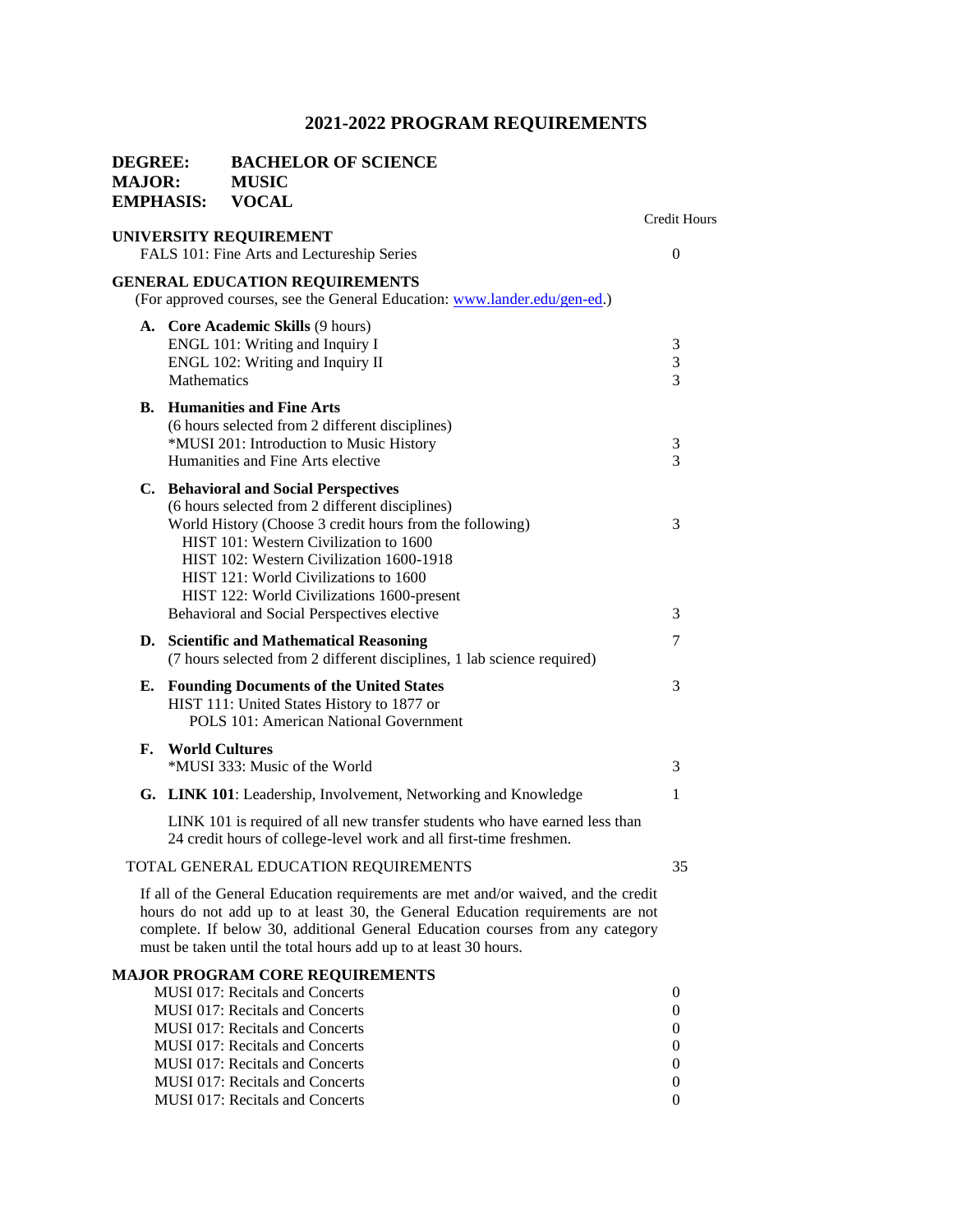| DEGREE:<br><b>MAJOR:</b><br><b>EMPHASIS:</b> |             | <b>BACHELOR OF SCIENCE</b><br><b>MUSIC</b><br><b>VOCAL</b>                                                                                                                                                                                                                                                                                                                       |                     |
|----------------------------------------------|-------------|----------------------------------------------------------------------------------------------------------------------------------------------------------------------------------------------------------------------------------------------------------------------------------------------------------------------------------------------------------------------------------|---------------------|
|                                              |             |                                                                                                                                                                                                                                                                                                                                                                                  | <b>Credit Hours</b> |
|                                              |             | UNIVERSITY REQUIREMENT<br>FALS 101: Fine Arts and Lectureship Series                                                                                                                                                                                                                                                                                                             | $\theta$            |
|                                              |             | <b>GENERAL EDUCATION REQUIREMENTS</b><br>(For approved courses, see the General Education: www.lander.edu/gen-ed.)                                                                                                                                                                                                                                                               |                     |
|                                              | Mathematics | A. Core Academic Skills (9 hours)<br>ENGL 101: Writing and Inquiry I<br>ENGL 102: Writing and Inquiry II                                                                                                                                                                                                                                                                         | 3<br>3<br>3         |
|                                              |             | <b>B.</b> Humanities and Fine Arts<br>(6 hours selected from 2 different disciplines)<br>*MUSI 201: Introduction to Music History<br>Humanities and Fine Arts elective                                                                                                                                                                                                           | 3<br>3              |
|                                              |             | C. Behavioral and Social Perspectives<br>(6 hours selected from 2 different disciplines)<br>World History (Choose 3 credit hours from the following)<br>HIST 101: Western Civilization to 1600<br>HIST 102: Western Civilization 1600-1918<br>HIST 121: World Civilizations to 1600<br>HIST 122: World Civilizations 1600-present<br>Behavioral and Social Perspectives elective | 3<br>3              |
|                                              |             | D. Scientific and Mathematical Reasoning<br>(7 hours selected from 2 different disciplines, 1 lab science required)                                                                                                                                                                                                                                                              | 7                   |
|                                              |             | <b>E.</b> Founding Documents of the United States<br>HIST 111: United States History to 1877 or<br>POLS 101: American National Government                                                                                                                                                                                                                                        | 3                   |
| F.                                           |             | <b>World Cultures</b><br>*MUSI 333: Music of the World                                                                                                                                                                                                                                                                                                                           | 3                   |
|                                              |             | G. LINK 101: Leadership, Involvement, Networking and Knowledge                                                                                                                                                                                                                                                                                                                   | 1                   |
|                                              |             | LINK 101 is required of all new transfer students who have earned less than<br>24 credit hours of college-level work and all first-time freshmen.                                                                                                                                                                                                                                |                     |
|                                              |             | TOTAL GENERAL EDUCATION REQUIREMENTS                                                                                                                                                                                                                                                                                                                                             | 35                  |
|                                              |             | If all of the General Education requirements are met and/or waived, and the credit<br>hours do not add up to at least 30, the General Education requirements are not<br>complete. If below 30, additional General Education courses from any category<br>must be taken until the total hours add up to at least 30 hours.                                                        |                     |
|                                              |             | <b>MAJOR PROGRAM CORE REQUIREMENTS</b>                                                                                                                                                                                                                                                                                                                                           |                     |
|                                              |             | MUSI 017: Recitals and Concerts<br><b>MUSI 017: Recitals and Concerts</b>                                                                                                                                                                                                                                                                                                        | $\bf{0}$<br>0       |
|                                              |             | <b>MUSI 017: Recitals and Concerts</b>                                                                                                                                                                                                                                                                                                                                           | 0                   |
|                                              |             | MUSI 017: Recitals and Concerts                                                                                                                                                                                                                                                                                                                                                  | 0                   |
|                                              |             | <b>MUSI 017: Recitals and Concerts</b>                                                                                                                                                                                                                                                                                                                                           | 0                   |
|                                              |             | <b>MUSI 017: Recitals and Concerts</b>                                                                                                                                                                                                                                                                                                                                           | 0                   |
|                                              |             | <b>MUSI 017: Recitals and Concerts</b>                                                                                                                                                                                                                                                                                                                                           | 0                   |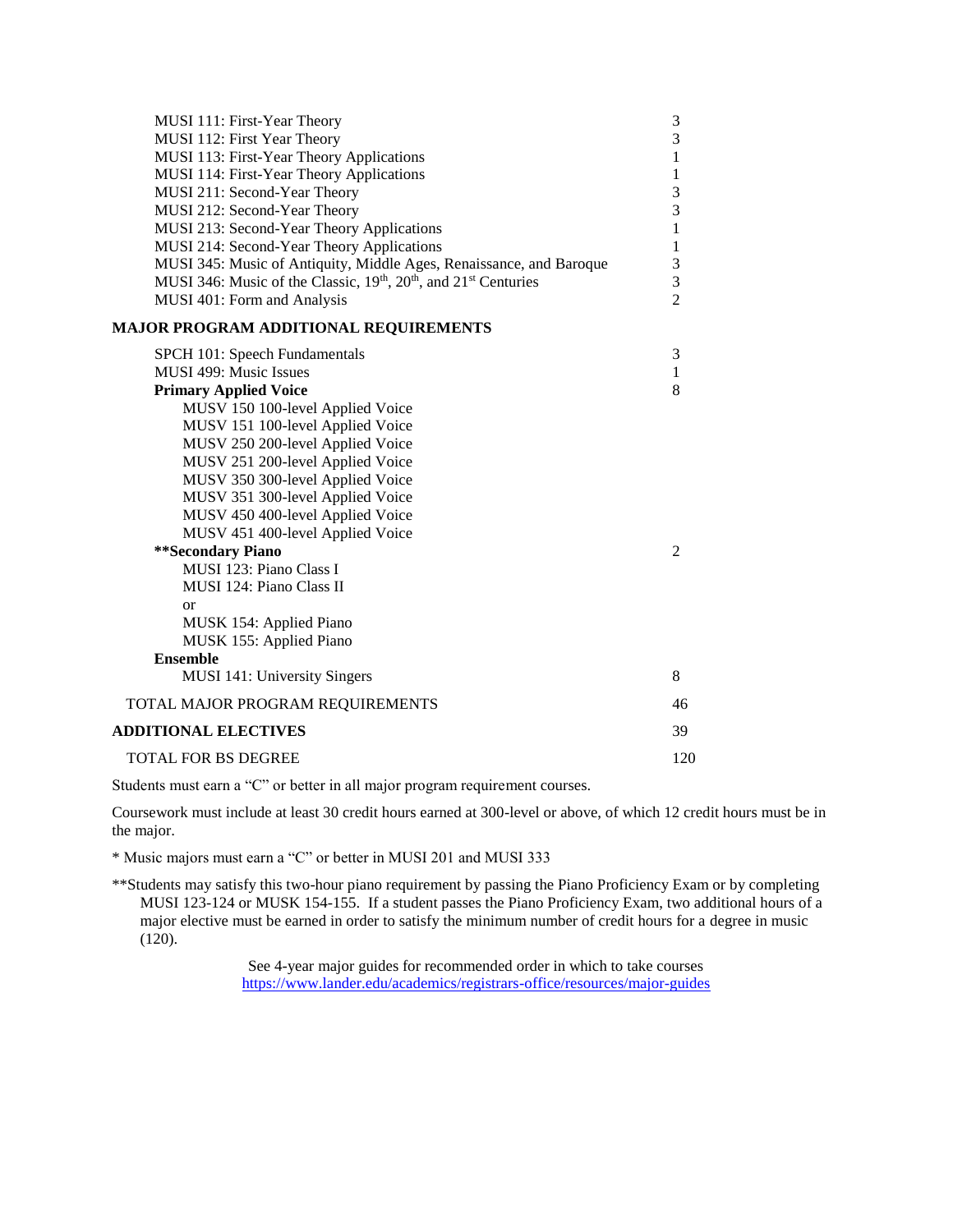| MUSI 111: First-Year Theory                                                          | 3                 |
|--------------------------------------------------------------------------------------|-------------------|
| MUSI 112: First Year Theory                                                          | 3<br>$\mathbf{1}$ |
| MUSI 113: First-Year Theory Applications<br>MUSI 114: First-Year Theory Applications | $\mathbf{1}$      |
| MUSI 211: Second-Year Theory                                                         | 3                 |
| MUSI 212: Second-Year Theory                                                         | 3                 |
| MUSI 213: Second-Year Theory Applications                                            | $\mathbf{1}$      |
| MUSI 214: Second-Year Theory Applications                                            | $\,1$             |
| MUSI 345: Music of Antiquity, Middle Ages, Renaissance, and Baroque                  | 3                 |
| MUSI 346: Music of the Classic, 19th, 20th, and 21st Centuries                       | 3                 |
| MUSI 401: Form and Analysis                                                          | $\overline{2}$    |
| <b>MAJOR PROGRAM ADDITIONAL REQUIREMENTS</b>                                         |                   |
| SPCH 101: Speech Fundamentals                                                        | 3                 |
| MUSI 499: Music Issues                                                               | 1                 |
| <b>Primary Applied Voice</b>                                                         | 8                 |
| MUSV 150 100-level Applied Voice                                                     |                   |
| MUSV 151 100-level Applied Voice                                                     |                   |
| MUSV 250 200-level Applied Voice                                                     |                   |
| MUSV 251 200-level Applied Voice                                                     |                   |
| MUSV 350 300-level Applied Voice                                                     |                   |
| MUSV 351 300-level Applied Voice                                                     |                   |
| MUSV 450 400-level Applied Voice                                                     |                   |
| MUSV 451 400-level Applied Voice<br>**Secondary Piano                                | 2                 |
| MUSI 123: Piano Class I                                                              |                   |
| MUSI 124: Piano Class II                                                             |                   |
| $\alpha$                                                                             |                   |
| MUSK 154: Applied Piano                                                              |                   |
| MUSK 155: Applied Piano                                                              |                   |
| <b>Ensemble</b>                                                                      |                   |
| MUSI 141: University Singers                                                         | 8                 |
| TOTAL MAJOR PROGRAM REQUIREMENTS                                                     | 46                |
| <b>ADDITIONAL ELECTIVES</b>                                                          | 39                |
| <b>TOTAL FOR BS DEGREE</b>                                                           | 120               |

Coursework must include at least 30 credit hours earned at 300-level or above, of which 12 credit hours must be in the major.

\* Music majors must earn a "C" or better in MUSI 201 and MUSI 333

\*\*Students may satisfy this two-hour piano requirement by passing the Piano Proficiency Exam or by completing MUSI 123-124 or MUSK 154-155. If a student passes the Piano Proficiency Exam, two additional hours of a major elective must be earned in order to satisfy the minimum number of credit hours for a degree in music (120).

> See 4-year major guides for recommended order in which to take courses <https://www.lander.edu/academics/registrars-office/resources/major-guides>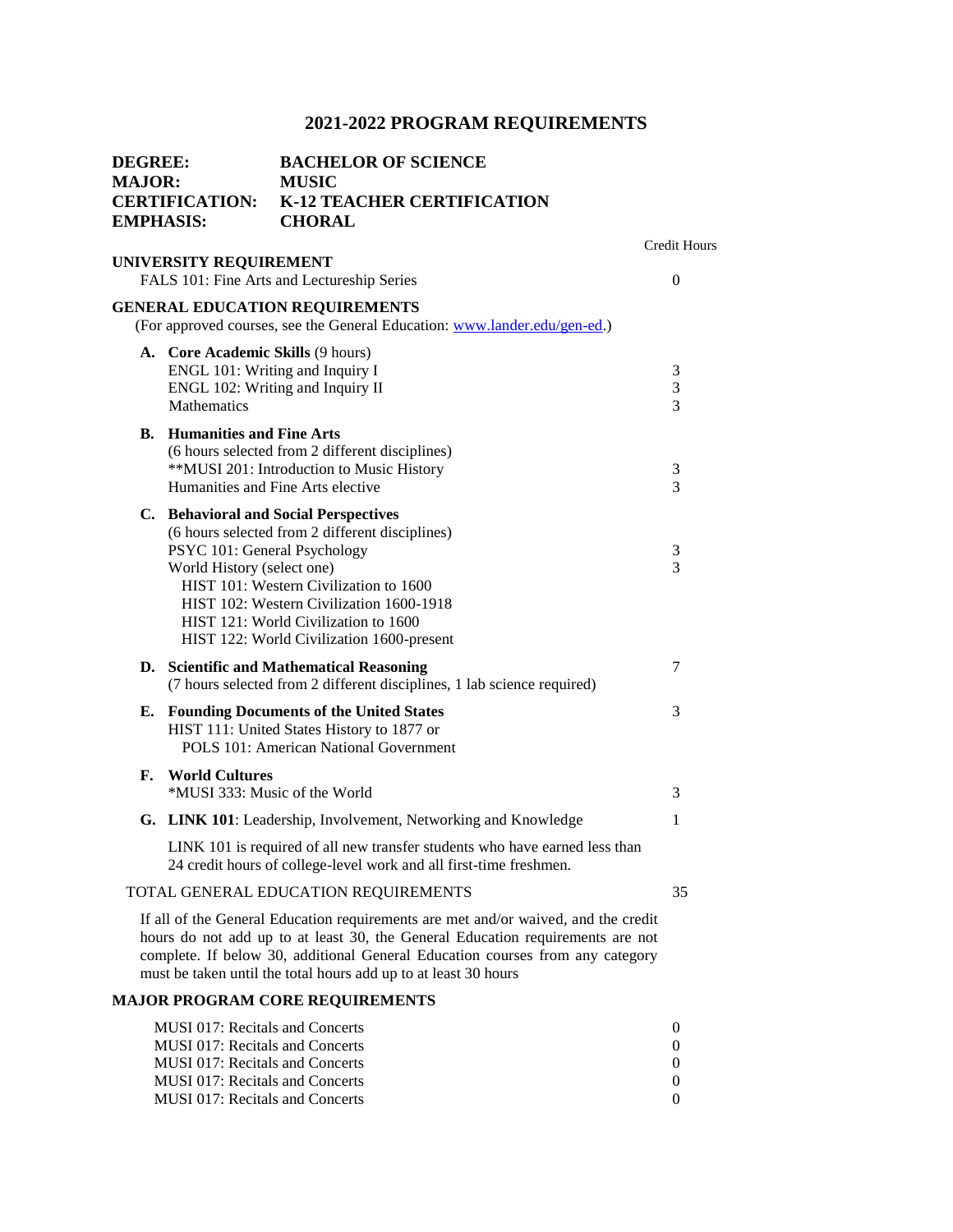|             | <b>BACHELOR OF SCIENCE</b><br><b>MUSIC</b><br>K-12 TEACHER CERTIFICATION<br><b>CHORAL</b> |                                                                                                                                                                                                                                                                                                                                                                                                                                                                                                                                                                                                                                                                                                                                                                                                                                                                                                                                                                                                                                                                                                                                                                                                                                                                                                                                                                                                                                                                                                                                                                                                                                                                                                                                                                                                                                                                                                                                                                                                                               |
|-------------|-------------------------------------------------------------------------------------------|-------------------------------------------------------------------------------------------------------------------------------------------------------------------------------------------------------------------------------------------------------------------------------------------------------------------------------------------------------------------------------------------------------------------------------------------------------------------------------------------------------------------------------------------------------------------------------------------------------------------------------------------------------------------------------------------------------------------------------------------------------------------------------------------------------------------------------------------------------------------------------------------------------------------------------------------------------------------------------------------------------------------------------------------------------------------------------------------------------------------------------------------------------------------------------------------------------------------------------------------------------------------------------------------------------------------------------------------------------------------------------------------------------------------------------------------------------------------------------------------------------------------------------------------------------------------------------------------------------------------------------------------------------------------------------------------------------------------------------------------------------------------------------------------------------------------------------------------------------------------------------------------------------------------------------------------------------------------------------------------------------------------------------|
|             |                                                                                           | <b>Credit Hours</b><br>$\overline{0}$                                                                                                                                                                                                                                                                                                                                                                                                                                                                                                                                                                                                                                                                                                                                                                                                                                                                                                                                                                                                                                                                                                                                                                                                                                                                                                                                                                                                                                                                                                                                                                                                                                                                                                                                                                                                                                                                                                                                                                                         |
|             |                                                                                           |                                                                                                                                                                                                                                                                                                                                                                                                                                                                                                                                                                                                                                                                                                                                                                                                                                                                                                                                                                                                                                                                                                                                                                                                                                                                                                                                                                                                                                                                                                                                                                                                                                                                                                                                                                                                                                                                                                                                                                                                                               |
| Mathematics |                                                                                           | 3<br>3<br>3                                                                                                                                                                                                                                                                                                                                                                                                                                                                                                                                                                                                                                                                                                                                                                                                                                                                                                                                                                                                                                                                                                                                                                                                                                                                                                                                                                                                                                                                                                                                                                                                                                                                                                                                                                                                                                                                                                                                                                                                                   |
|             |                                                                                           | 3<br>3                                                                                                                                                                                                                                                                                                                                                                                                                                                                                                                                                                                                                                                                                                                                                                                                                                                                                                                                                                                                                                                                                                                                                                                                                                                                                                                                                                                                                                                                                                                                                                                                                                                                                                                                                                                                                                                                                                                                                                                                                        |
|             |                                                                                           | 3<br>3                                                                                                                                                                                                                                                                                                                                                                                                                                                                                                                                                                                                                                                                                                                                                                                                                                                                                                                                                                                                                                                                                                                                                                                                                                                                                                                                                                                                                                                                                                                                                                                                                                                                                                                                                                                                                                                                                                                                                                                                                        |
|             |                                                                                           | 7                                                                                                                                                                                                                                                                                                                                                                                                                                                                                                                                                                                                                                                                                                                                                                                                                                                                                                                                                                                                                                                                                                                                                                                                                                                                                                                                                                                                                                                                                                                                                                                                                                                                                                                                                                                                                                                                                                                                                                                                                             |
|             |                                                                                           | 3                                                                                                                                                                                                                                                                                                                                                                                                                                                                                                                                                                                                                                                                                                                                                                                                                                                                                                                                                                                                                                                                                                                                                                                                                                                                                                                                                                                                                                                                                                                                                                                                                                                                                                                                                                                                                                                                                                                                                                                                                             |
|             |                                                                                           | 3                                                                                                                                                                                                                                                                                                                                                                                                                                                                                                                                                                                                                                                                                                                                                                                                                                                                                                                                                                                                                                                                                                                                                                                                                                                                                                                                                                                                                                                                                                                                                                                                                                                                                                                                                                                                                                                                                                                                                                                                                             |
|             |                                                                                           | 1                                                                                                                                                                                                                                                                                                                                                                                                                                                                                                                                                                                                                                                                                                                                                                                                                                                                                                                                                                                                                                                                                                                                                                                                                                                                                                                                                                                                                                                                                                                                                                                                                                                                                                                                                                                                                                                                                                                                                                                                                             |
|             |                                                                                           |                                                                                                                                                                                                                                                                                                                                                                                                                                                                                                                                                                                                                                                                                                                                                                                                                                                                                                                                                                                                                                                                                                                                                                                                                                                                                                                                                                                                                                                                                                                                                                                                                                                                                                                                                                                                                                                                                                                                                                                                                               |
|             |                                                                                           | 35                                                                                                                                                                                                                                                                                                                                                                                                                                                                                                                                                                                                                                                                                                                                                                                                                                                                                                                                                                                                                                                                                                                                                                                                                                                                                                                                                                                                                                                                                                                                                                                                                                                                                                                                                                                                                                                                                                                                                                                                                            |
|             |                                                                                           |                                                                                                                                                                                                                                                                                                                                                                                                                                                                                                                                                                                                                                                                                                                                                                                                                                                                                                                                                                                                                                                                                                                                                                                                                                                                                                                                                                                                                                                                                                                                                                                                                                                                                                                                                                                                                                                                                                                                                                                                                               |
|             |                                                                                           |                                                                                                                                                                                                                                                                                                                                                                                                                                                                                                                                                                                                                                                                                                                                                                                                                                                                                                                                                                                                                                                                                                                                                                                                                                                                                                                                                                                                                                                                                                                                                                                                                                                                                                                                                                                                                                                                                                                                                                                                                               |
|             |                                                                                           | 0<br>0<br>0<br>0<br>0                                                                                                                                                                                                                                                                                                                                                                                                                                                                                                                                                                                                                                                                                                                                                                                                                                                                                                                                                                                                                                                                                                                                                                                                                                                                                                                                                                                                                                                                                                                                                                                                                                                                                                                                                                                                                                                                                                                                                                                                         |
|             | <b>DEGREE:</b><br><b>MAJOR:</b><br><b>EMPHASIS:</b>                                       | <b>CERTIFICATION:</b><br>UNIVERSITY REQUIREMENT<br>FALS 101: Fine Arts and Lectureship Series<br><b>GENERAL EDUCATION REQUIREMENTS</b><br>(For approved courses, see the General Education: www.lander.edu/gen-ed.)<br>A. Core Academic Skills (9 hours)<br>ENGL 101: Writing and Inquiry I<br>ENGL 102: Writing and Inquiry II<br><b>B.</b> Humanities and Fine Arts<br>(6 hours selected from 2 different disciplines)<br>**MUSI 201: Introduction to Music History<br>Humanities and Fine Arts elective<br>C. Behavioral and Social Perspectives<br>(6 hours selected from 2 different disciplines)<br>PSYC 101: General Psychology<br>World History (select one)<br>HIST 101: Western Civilization to 1600<br>HIST 102: Western Civilization 1600-1918<br>HIST 121: World Civilization to 1600<br>HIST 122: World Civilization 1600-present<br>D. Scientific and Mathematical Reasoning<br>(7 hours selected from 2 different disciplines, 1 lab science required)<br><b>E.</b> Founding Documents of the United States<br>HIST 111: United States History to 1877 or<br>POLS 101: American National Government<br><b>World Cultures</b><br>*MUSI 333: Music of the World<br>G. LINK 101: Leadership, Involvement, Networking and Knowledge<br>LINK 101 is required of all new transfer students who have earned less than<br>24 credit hours of college-level work and all first-time freshmen.<br>TOTAL GENERAL EDUCATION REQUIREMENTS<br>If all of the General Education requirements are met and/or waived, and the credit<br>hours do not add up to at least 30, the General Education requirements are not<br>complete. If below 30, additional General Education courses from any category<br>must be taken until the total hours add up to at least 30 hours<br><b>MAJOR PROGRAM CORE REQUIREMENTS</b><br><b>MUSI 017: Recitals and Concerts</b><br><b>MUSI 017: Recitals and Concerts</b><br><b>MUSI 017: Recitals and Concerts</b><br><b>MUSI 017: Recitals and Concerts</b><br>MUSI 017: Recitals and Concerts |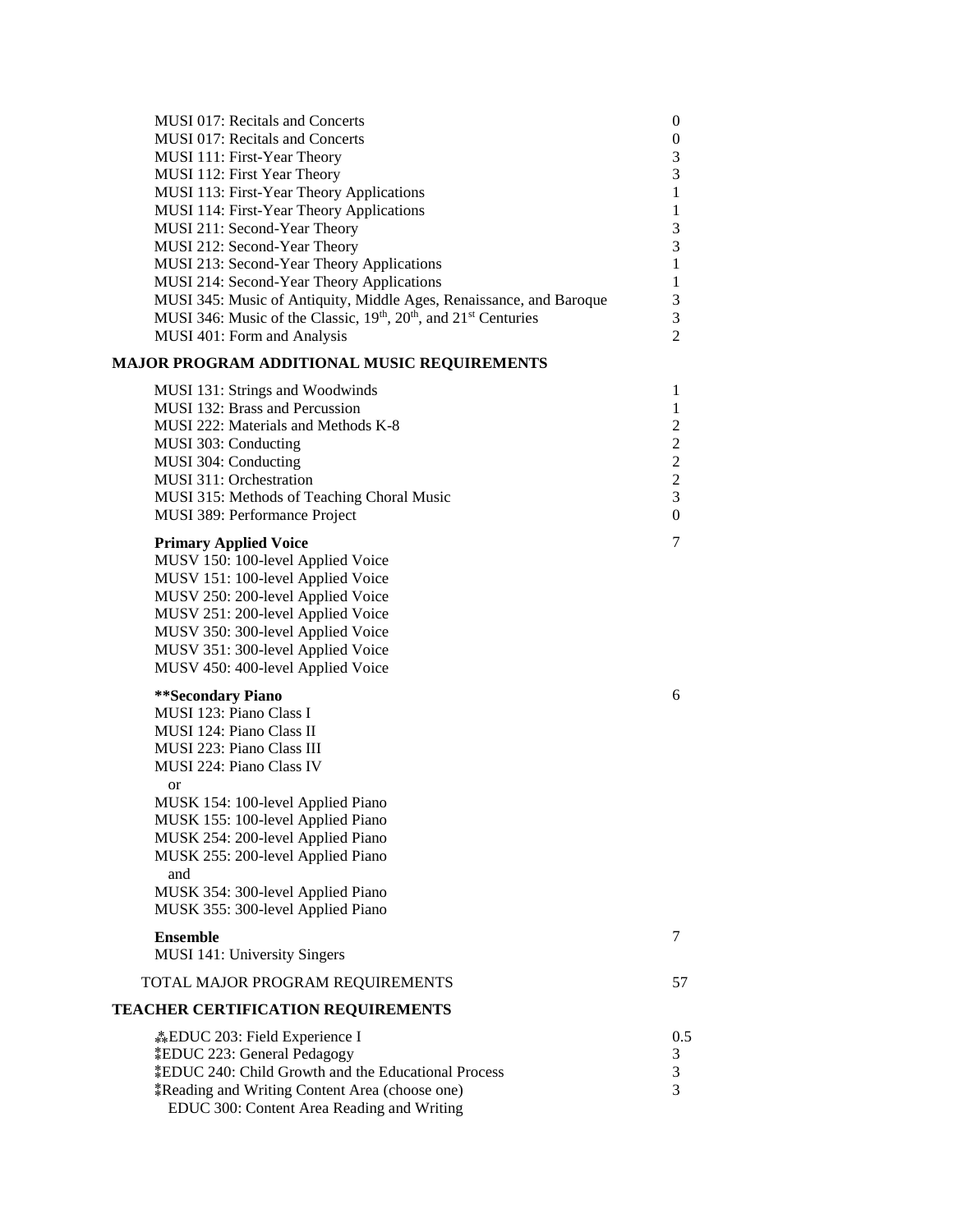| <b>MUSI 017: Recitals and Concerts</b><br><b>MUSI 017: Recitals and Concerts</b><br>MUSI 111: First-Year Theory<br>MUSI 112: First Year Theory<br>MUSI 113: First-Year Theory Applications<br>MUSI 114: First-Year Theory Applications<br>MUSI 211: Second-Year Theory<br>MUSI 212: Second-Year Theory<br>MUSI 213: Second-Year Theory Applications<br>MUSI 214: Second-Year Theory Applications<br>MUSI 345: Music of Antiquity, Middle Ages, Renaissance, and Baroque<br>MUSI 346: Music of the Classic, 19 <sup>th</sup> , 20 <sup>th</sup> , and 21 <sup>st</sup> Centuries<br>MUSI 401: Form and Analysis | $\theta$<br>$\boldsymbol{0}$<br>3<br>3<br>$\mathbf{1}$<br>1<br>3<br>3<br>$\mathbf{1}$<br>1<br>3<br>3<br>$\overline{2}$ |
|----------------------------------------------------------------------------------------------------------------------------------------------------------------------------------------------------------------------------------------------------------------------------------------------------------------------------------------------------------------------------------------------------------------------------------------------------------------------------------------------------------------------------------------------------------------------------------------------------------------|------------------------------------------------------------------------------------------------------------------------|
| MAJOR PROGRAM ADDITIONAL MUSIC REQUIREMENTS                                                                                                                                                                                                                                                                                                                                                                                                                                                                                                                                                                    |                                                                                                                        |
| MUSI 131: Strings and Woodwinds<br>MUSI 132: Brass and Percussion<br>MUSI 222: Materials and Methods K-8<br>MUSI 303: Conducting<br>MUSI 304: Conducting<br>MUSI 311: Orchestration<br>MUSI 315: Methods of Teaching Choral Music<br>MUSI 389: Performance Project                                                                                                                                                                                                                                                                                                                                             | 1<br>1<br>2<br>$\boldsymbol{2}$<br>$\sqrt{2}$<br>$\overline{2}$<br>3<br>$\boldsymbol{0}$                               |
| <b>Primary Applied Voice</b><br>MUSV 150: 100-level Applied Voice<br>MUSV 151: 100-level Applied Voice<br>MUSV 250: 200-level Applied Voice<br>MUSV 251: 200-level Applied Voice<br>MUSV 350: 300-level Applied Voice<br>MUSV 351: 300-level Applied Voice<br>MUSV 450: 400-level Applied Voice                                                                                                                                                                                                                                                                                                                | 7                                                                                                                      |
| **Secondary Piano<br>MUSI 123: Piano Class I<br>MUSI 124: Piano Class II<br>MUSI 223: Piano Class III<br>MUSI 224: Piano Class IV<br>or<br>MUSK 154: 100-level Applied Piano<br>MUSK 155: 100-level Applied Piano<br>MUSK 254: 200-level Applied Piano<br>MUSK 255: 200-level Applied Piano<br>and<br>MUSK 354: 300-level Applied Piano<br>MUSK 355: 300-level Applied Piano                                                                                                                                                                                                                                   | 6                                                                                                                      |
| <b>Ensemble</b><br>MUSI 141: University Singers                                                                                                                                                                                                                                                                                                                                                                                                                                                                                                                                                                | 7                                                                                                                      |
| TOTAL MAJOR PROGRAM REQUIREMENTS                                                                                                                                                                                                                                                                                                                                                                                                                                                                                                                                                                               | 57                                                                                                                     |
| <b>TEACHER CERTIFICATION REQUIREMENTS</b>                                                                                                                                                                                                                                                                                                                                                                                                                                                                                                                                                                      |                                                                                                                        |
| <b>EDUC</b> 203: Field Experience I<br><b><i>EDUC 223: General Pedagogy</i></b><br><i><b>‡EDUC 240: Child Growth and the Educational Process</b></i><br><i>k</i> Reading and Writing Content Area (choose one)<br>EDUC 300: Content Area Reading and Writing                                                                                                                                                                                                                                                                                                                                                   | 0.5<br>3<br>3<br>3                                                                                                     |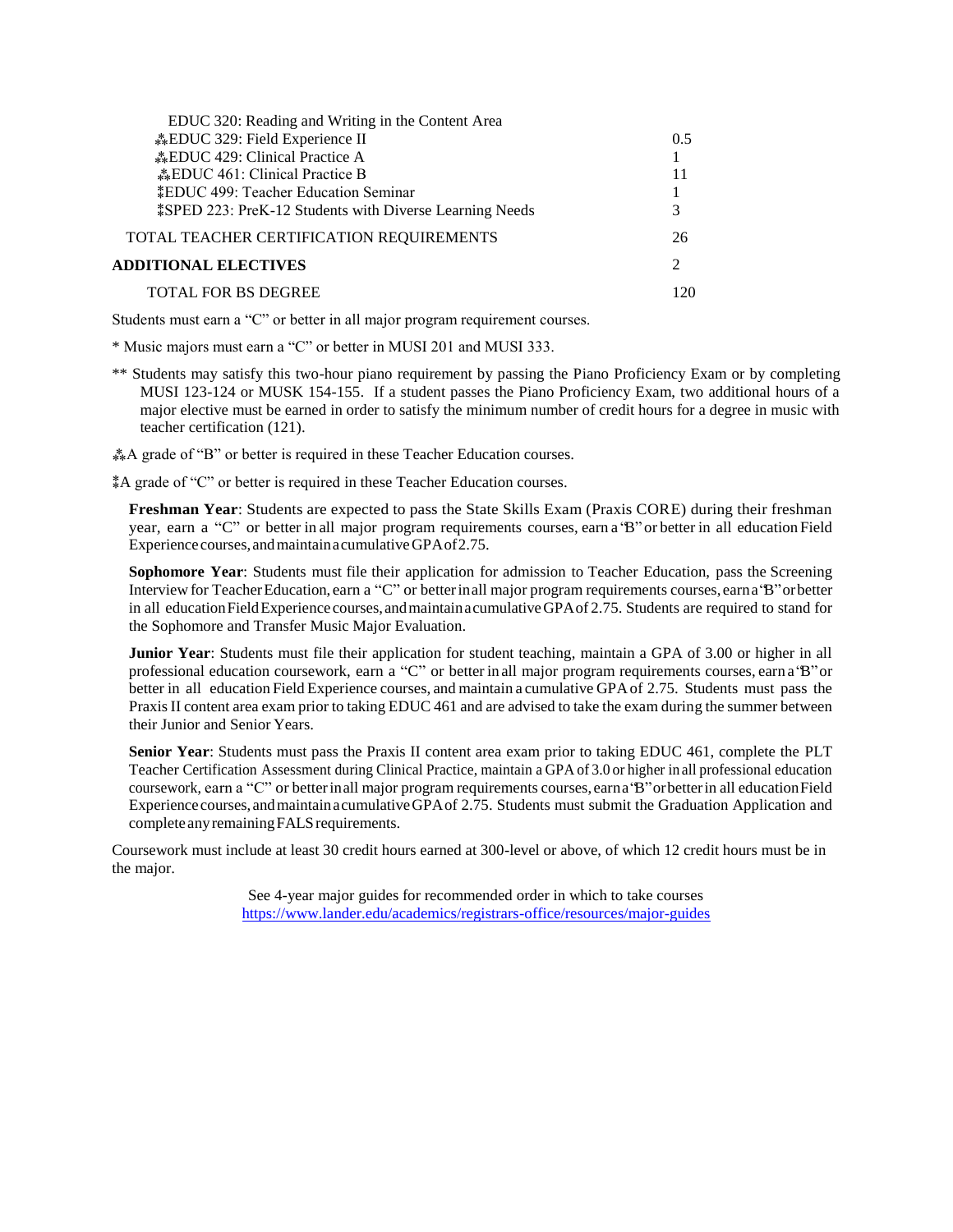| EDUC 320: Reading and Writing in the Content Area                     |                             |
|-----------------------------------------------------------------------|-----------------------------|
| <b>EDUC</b> 329: Field Experience II                                  | 0.5                         |
| <b>EDUC</b> 429: Clinical Practice A                                  |                             |
| <b>EDUC</b> 461: Clinical Practice B                                  |                             |
| <b>*EDUC 499: Teacher Education Seminar</b>                           |                             |
| <i><b>‡SPED 223: PreK-12 Students with Diverse Learning Needs</b></i> | 3                           |
| TOTAL TEACHER CERTIFICATION REQUIREMENTS                              | 26                          |
| <b>ADDITIONAL ELECTIVES</b>                                           | $\mathcal{D}_{\mathcal{A}}$ |
| TOTAL FOR BS DEGREE                                                   |                             |
|                                                                       |                             |

\* Music majors must earn a "C" or better in MUSI 201 and MUSI 333.

\*\* Students may satisfy this two-hour piano requirement by passing the Piano Proficiency Exam or by completing MUSI 123-124 or MUSK 154-155. If a student passes the Piano Proficiency Exam, two additional hours of a major elective must be earned in order to satisfy the minimum number of credit hours for a degree in music with teacher certification (121).

⁂A grade of "B" or better is required in these Teacher Education courses.

⁑A grade of "C" or better is required in these Teacher Education courses.

**Freshman Year**: Students are expected to pass the State Skills Exam (Praxis CORE) during their freshman year, earn a "C" or better in all major program requirements courses, earn a "B" or better in all education Field Experience courses,andmaintainacumulativeGPAof2.75.

**Sophomore Year**: Students must file their application for admission to Teacher Education, pass the Screening Interview for TeacherEducation, earn a "C" or betterinall major program requirements courses, earna"B"orbetter in all education Field Experience courses, and maintain acumulative GPA of 2.75. Students are required to stand for the Sophomore and Transfer Music Major Evaluation.

**Junior Year**: Students must file their application for student teaching, maintain a GPA of 3.00 or higher in all professional education coursework, earn a "C" or better in all major program requirements courses, earn a"B"or better in all education Field Experience courses, and maintain a cumulative GPAof 2.75. Students must pass the Praxis II content area exam prior to taking EDUC 461 and are advised to take the exam during the summer between their Junior and Senior Years.

**Senior Year**: Students must pass the Praxis II content area exam prior to taking EDUC 461, complete the PLT Teacher Certification Assessment during Clinical Practice, maintain a GPA of 3.0 or higher in all professional education coursework, earn a "C" or betterinall major program requirements courses, earna"B"orbetterin all educationField Experience courses, andmaintainacumulativeGPAof 2.75. Students must submit the Graduation Application and complete any remaining FALS requirements.

Coursework must include at least 30 credit hours earned at 300-level or above, of which 12 credit hours must be in the major.

> See 4-year major guides for recommended order in which to take courses <https://www.lander.edu/academics/registrars-office/resources/major-guides>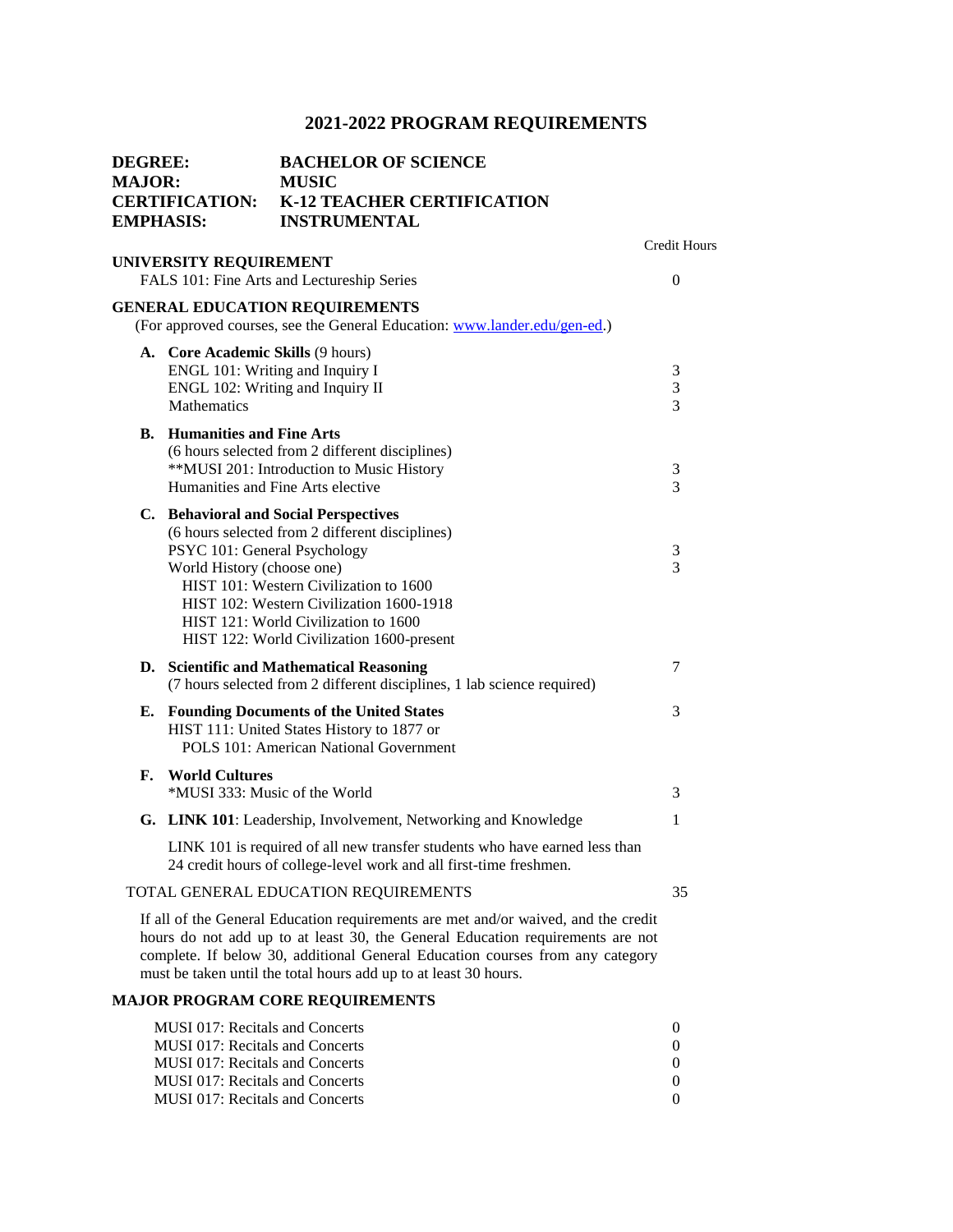| <b>DEGREE:</b><br><b>MAJOR:</b><br><b>EMPHASIS:</b> |                                                                                                                                                                                                         | <b>BACHELOR OF SCIENCE</b><br><b>MUSIC</b><br><b>CERTIFICATION: K-12 TEACHER CERTIFICATION</b><br><b>INSTRUMENTAL</b>                                                                                                                                                                                                     |                       |
|-----------------------------------------------------|---------------------------------------------------------------------------------------------------------------------------------------------------------------------------------------------------------|---------------------------------------------------------------------------------------------------------------------------------------------------------------------------------------------------------------------------------------------------------------------------------------------------------------------------|-----------------------|
|                                                     | UNIVERSITY REQUIREMENT                                                                                                                                                                                  |                                                                                                                                                                                                                                                                                                                           | <b>Credit Hours</b>   |
|                                                     |                                                                                                                                                                                                         | FALS 101: Fine Arts and Lectureship Series                                                                                                                                                                                                                                                                                | $\theta$              |
|                                                     |                                                                                                                                                                                                         | <b>GENERAL EDUCATION REQUIREMENTS</b><br>(For approved courses, see the General Education: www.lander.edu/gen-ed.)                                                                                                                                                                                                        |                       |
|                                                     | A. Core Academic Skills (9 hours)<br>Mathematics                                                                                                                                                        | ENGL 101: Writing and Inquiry I<br>ENGL 102: Writing and Inquiry II                                                                                                                                                                                                                                                       | 3<br>3<br>3           |
|                                                     | <b>B.</b> Humanities and Fine Arts                                                                                                                                                                      | (6 hours selected from 2 different disciplines)<br>**MUSI 201: Introduction to Music History<br>Humanities and Fine Arts elective                                                                                                                                                                                         | 3<br>3                |
|                                                     | PSYC 101: General Psychology<br>World History (choose one)                                                                                                                                              | C. Behavioral and Social Perspectives<br>(6 hours selected from 2 different disciplines)<br>HIST 101: Western Civilization to 1600<br>HIST 102: Western Civilization 1600-1918<br>HIST 121: World Civilization to 1600<br>HIST 122: World Civilization 1600-present                                                       | 3<br>3                |
|                                                     |                                                                                                                                                                                                         | D. Scientific and Mathematical Reasoning<br>(7 hours selected from 2 different disciplines, 1 lab science required)                                                                                                                                                                                                       | 7                     |
|                                                     |                                                                                                                                                                                                         | E. Founding Documents of the United States<br>HIST 111: United States History to 1877 or<br>POLS 101: American National Government                                                                                                                                                                                        | 3                     |
|                                                     | F. World Cultures<br>*MUSI 333: Music of the World                                                                                                                                                      |                                                                                                                                                                                                                                                                                                                           | 3                     |
|                                                     |                                                                                                                                                                                                         | G. LINK 101: Leadership, Involvement, Networking and Knowledge                                                                                                                                                                                                                                                            | 1                     |
|                                                     |                                                                                                                                                                                                         | LINK 101 is required of all new transfer students who have earned less than<br>24 credit hours of college-level work and all first-time freshmen.                                                                                                                                                                         |                       |
|                                                     |                                                                                                                                                                                                         | TOTAL GENERAL EDUCATION REQUIREMENTS                                                                                                                                                                                                                                                                                      | 35                    |
|                                                     |                                                                                                                                                                                                         | If all of the General Education requirements are met and/or waived, and the credit<br>hours do not add up to at least 30, the General Education requirements are not<br>complete. If below 30, additional General Education courses from any category<br>must be taken until the total hours add up to at least 30 hours. |                       |
|                                                     |                                                                                                                                                                                                         | <b>MAJOR PROGRAM CORE REQUIREMENTS</b>                                                                                                                                                                                                                                                                                    |                       |
|                                                     | <b>MUSI 017: Recitals and Concerts</b><br><b>MUSI 017: Recitals and Concerts</b><br><b>MUSI 017: Recitals and Concerts</b><br><b>MUSI 017: Recitals and Concerts</b><br>MUSI 017: Recitals and Concerts |                                                                                                                                                                                                                                                                                                                           | 0<br>0<br>0<br>0<br>0 |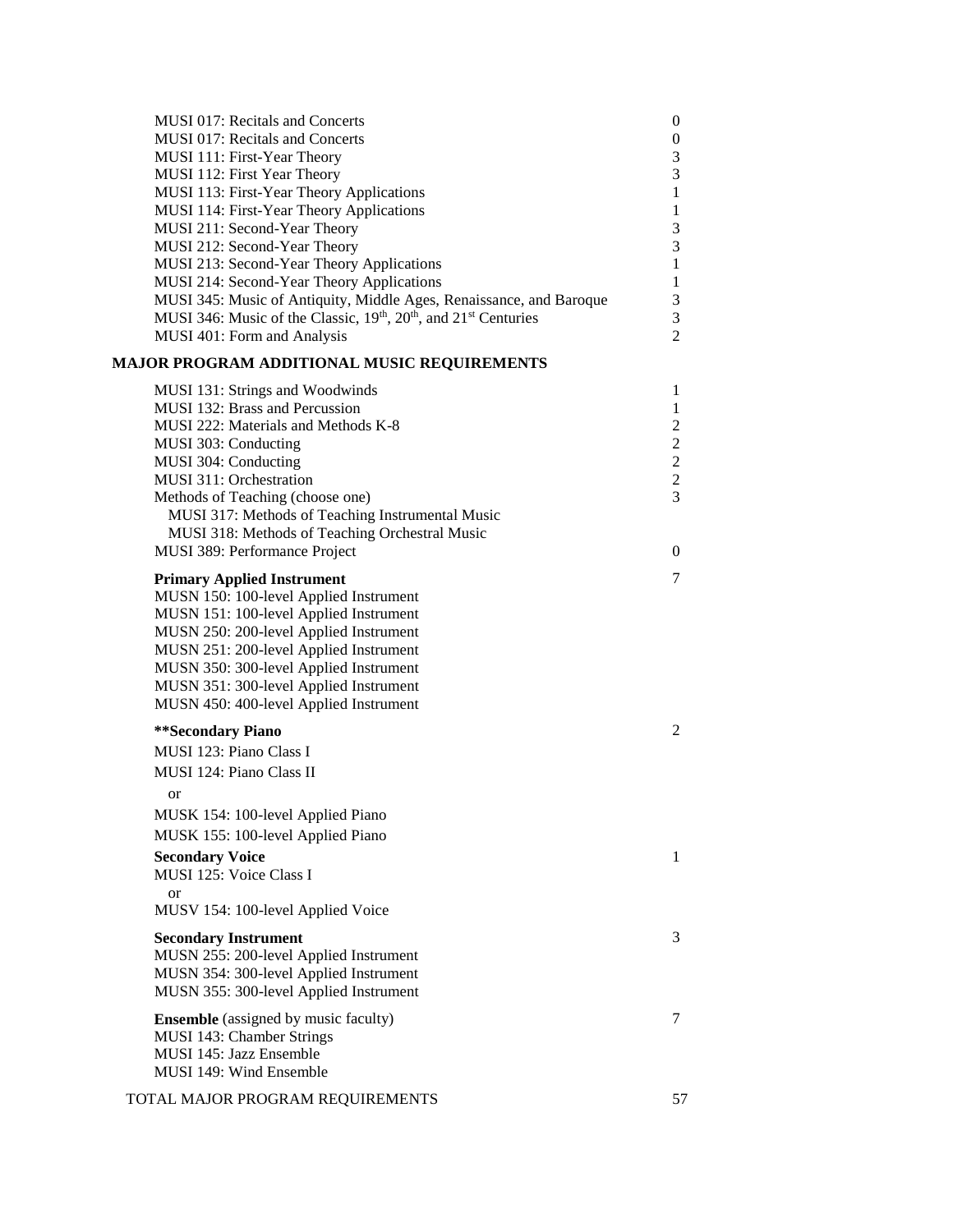| <b>MUSI 017: Recitals and Concerts</b>                                                               | $\boldsymbol{0}$ |
|------------------------------------------------------------------------------------------------------|------------------|
| MUSI 017: Recitals and Concerts                                                                      | 0                |
| MUSI 111: First-Year Theory                                                                          | 3                |
| MUSI 112: First Year Theory                                                                          | 3                |
| MUSI 113: First-Year Theory Applications                                                             | $\mathbf{1}$     |
| MUSI 114: First-Year Theory Applications                                                             | $\mathbf{1}$     |
| MUSI 211: Second-Year Theory                                                                         | 3                |
| MUSI 212: Second-Year Theory                                                                         | 3                |
| MUSI 213: Second-Year Theory Applications                                                            | 1                |
| MUSI 214: Second-Year Theory Applications                                                            | 1                |
| MUSI 345: Music of Antiquity, Middle Ages, Renaissance, and Baroque                                  | 3                |
| MUSI 346: Music of the Classic, 19 <sup>th</sup> , 20 <sup>th</sup> , and 21 <sup>st</sup> Centuries | 3                |
| MUSI 401: Form and Analysis                                                                          | $\overline{2}$   |
| MAJOR PROGRAM ADDITIONAL MUSIC REQUIREMENTS                                                          |                  |
| MUSI 131: Strings and Woodwinds                                                                      | 1                |
| MUSI 132: Brass and Percussion                                                                       | $\mathbf{1}$     |
| MUSI 222: Materials and Methods K-8                                                                  | $\overline{c}$   |
| MUSI 303: Conducting                                                                                 | $\mathbf{2}$     |
| MUSI 304: Conducting                                                                                 | $\overline{c}$   |
| <b>MUSI 311: Orchestration</b>                                                                       | $\overline{c}$   |
| Methods of Teaching (choose one)                                                                     | 3                |
| MUSI 317: Methods of Teaching Instrumental Music                                                     |                  |
| MUSI 318: Methods of Teaching Orchestral Music                                                       |                  |
| MUSI 389: Performance Project                                                                        | 0                |
|                                                                                                      |                  |
| <b>Primary Applied Instrument</b>                                                                    | 7                |
| MUSN 150: 100-level Applied Instrument                                                               |                  |
| MUSN 151: 100-level Applied Instrument                                                               |                  |
| MUSN 250: 200-level Applied Instrument                                                               |                  |
| MUSN 251: 200-level Applied Instrument                                                               |                  |
| MUSN 350: 300-level Applied Instrument                                                               |                  |
| MUSN 351: 300-level Applied Instrument                                                               |                  |
| MUSN 450: 400-level Applied Instrument                                                               |                  |
| **Secondary Piano                                                                                    | $\overline{2}$   |
| MUSI 123: Piano Class I                                                                              |                  |
| MUSI 124: Piano Class II                                                                             |                  |
|                                                                                                      |                  |
| or                                                                                                   |                  |
| MUSK 154: 100-level Applied Piano                                                                    |                  |
| MUSK 155: 100-level Applied Piano                                                                    |                  |
| <b>Secondary Voice</b>                                                                               | 1                |
| MUSI 125: Voice Class I                                                                              |                  |
| <b>or</b>                                                                                            |                  |
| MUSV 154: 100-level Applied Voice                                                                    |                  |
| <b>Secondary Instrument</b>                                                                          | 3                |
| MUSN 255: 200-level Applied Instrument                                                               |                  |
| MUSN 354: 300-level Applied Instrument                                                               |                  |
| MUSN 355: 300-level Applied Instrument                                                               |                  |
|                                                                                                      |                  |
| <b>Ensemble</b> (assigned by music faculty)                                                          | 7                |
| MUSI 143: Chamber Strings                                                                            |                  |
| MUSI 145: Jazz Ensemble                                                                              |                  |
| MUSI 149: Wind Ensemble                                                                              |                  |
| TOTAL MAJOR PROGRAM REQUIREMENTS                                                                     | 57               |
|                                                                                                      |                  |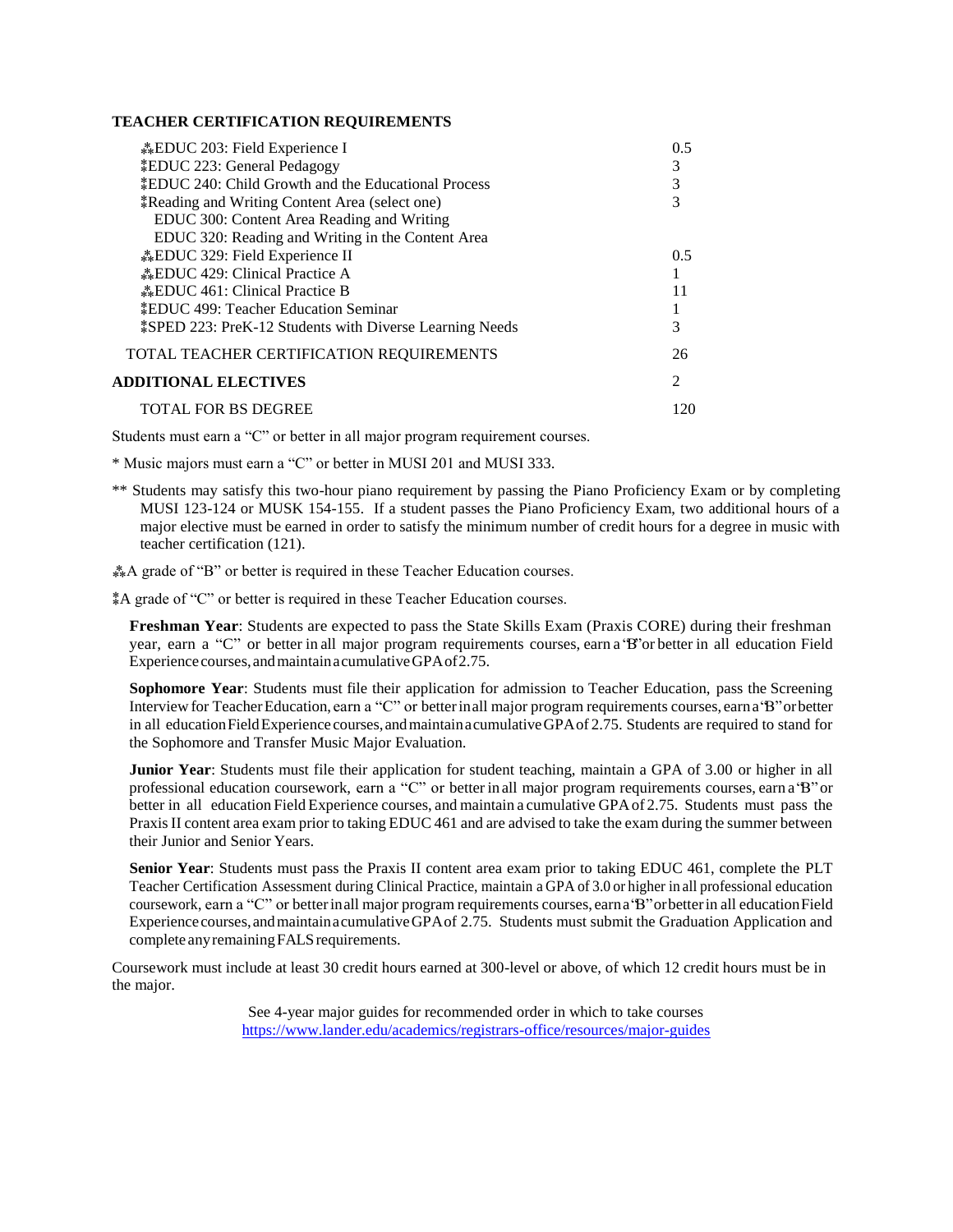#### **TEACHER CERTIFICATION REQUIREMENTS**

| <b>EDUC</b> 203: Field Experience I                             | 0.5                         |
|-----------------------------------------------------------------|-----------------------------|
| <i><b>‡EDUC 223: General Pedagogy</b></i>                       | 3                           |
| EDUC 240: Child Growth and the Educational Process              |                             |
| *Reading and Writing Content Area (select one)                  |                             |
| EDUC 300: Content Area Reading and Writing                      |                             |
| EDUC 320: Reading and Writing in the Content Area               |                             |
| <b>EDUC</b> 329: Field Experience II                            | $0.5^{\circ}$               |
| <b>EDUC</b> 429: Clinical Practice A                            |                             |
| <b>EDUC</b> 461: Clinical Practice B                            |                             |
| <b>*EDUC 499: Teacher Education Seminar</b>                     |                             |
| <b>\$SPED 223: PreK-12 Students with Diverse Learning Needs</b> | 3                           |
| TOTAL TEACHER CERTIFICATION REQUIREMENTS                        | 26                          |
| <b>ADDITIONAL ELECTIVES</b>                                     | $\mathcal{D}_{\mathcal{L}}$ |
| <b>TOTAL FOR BS DEGREE</b>                                      | 120                         |

Students must earn a "C" or better in all major program requirement courses.

\* Music majors must earn a "C" or better in MUSI 201 and MUSI 333.

\*\* Students may satisfy this two-hour piano requirement by passing the Piano Proficiency Exam or by completing MUSI 123-124 or MUSK 154-155. If a student passes the Piano Proficiency Exam, two additional hours of a major elective must be earned in order to satisfy the minimum number of credit hours for a degree in music with teacher certification (121).

⁂A grade of "B" or better is required in these Teacher Education courses.

⁑A grade of "C" or better is required in these Teacher Education courses.

**Freshman Year**: Students are expected to pass the State Skills Exam (Praxis CORE) during their freshman year, earn a "C" or better in all major program requirements courses, earn a "B"or better in all education Field Experience courses, and maintain acumulative GPA of 2.75.

**Sophomore Year**: Students must file their application for admission to Teacher Education, pass the Screening Interview for TeacherEducation, earn a "C" or betterinall major program requirements courses, earna"B"orbetter in all education Field Experience courses, and maintain acumulative GPA of 2.75. Students are required to stand for the Sophomore and Transfer Music Major Evaluation.

**Junior Year**: Students must file their application for student teaching, maintain a GPA of 3.00 or higher in all professional education coursework, earn a "C" or better in all major program requirements courses, earn a"B"or better in all education Field Experience courses, and maintain a cumulative GPAof 2.75. Students must pass the Praxis II content area exam prior to taking EDUC 461 and are advised to take the exam during the summer between their Junior and Senior Years.

**Senior Year**: Students must pass the Praxis II content area exam prior to taking EDUC 461, complete the PLT Teacher Certification Assessment during Clinical Practice, maintain a GPA of 3.0 or higher in all professional education coursework, earn a "C" or betterinall major program requirements courses, earna"B"orbetterin all educationField Experience courses,andmaintainacumulativeGPAof 2.75. Students must submit the Graduation Application and complete any remaining FALS requirements.

Coursework must include at least 30 credit hours earned at 300-level or above, of which 12 credit hours must be in the major.

> See 4-year major guides for recommended order in which to take courses <https://www.lander.edu/academics/registrars-office/resources/major-guides>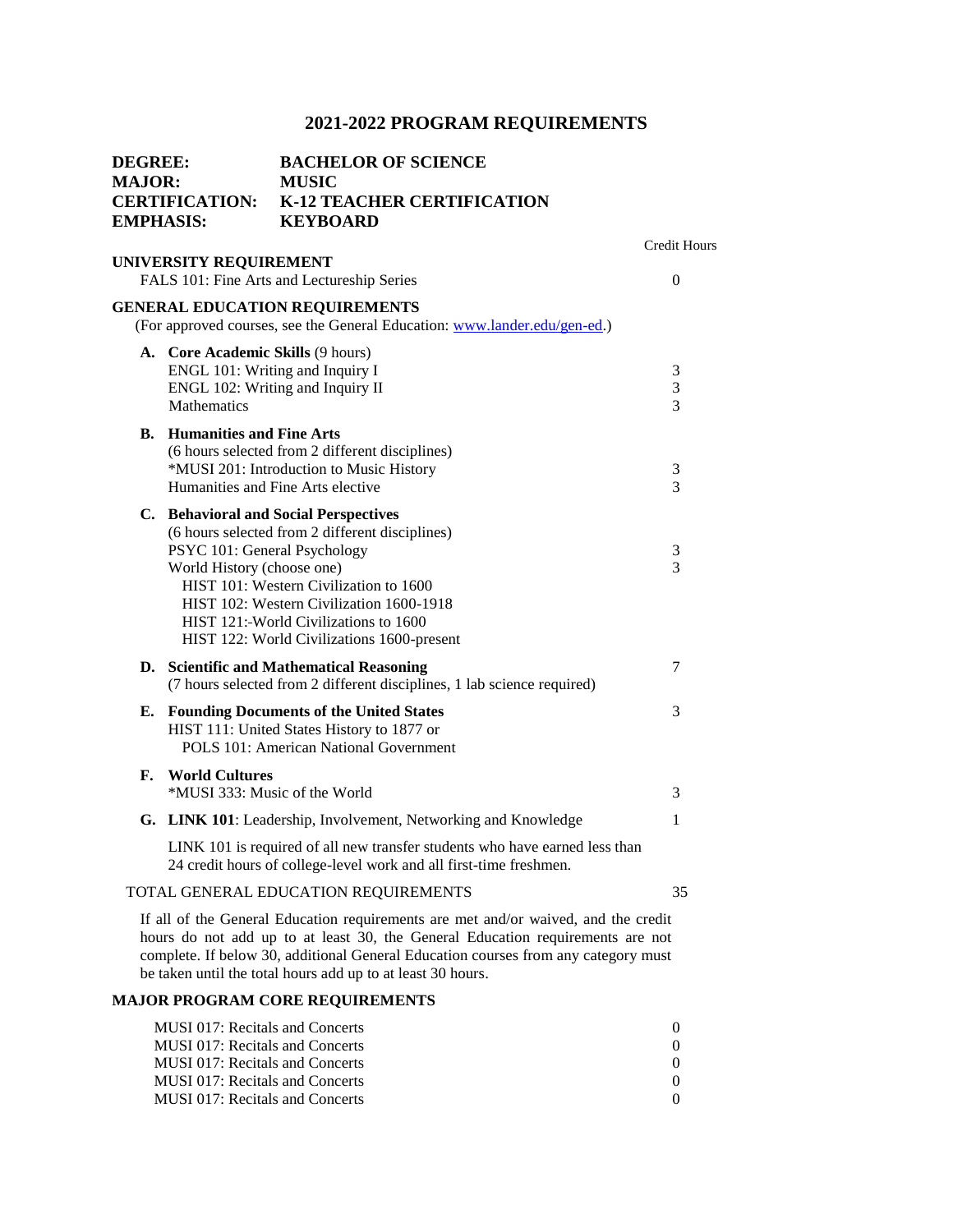| <b>DEGREE:</b><br><b>MAJOR:</b><br><b>EMPHASIS:</b> |                                                                                                                         | <b>BACHELOR OF SCIENCE</b><br><b>MUSIC</b><br><b>CERTIFICATION: K-12 TEACHER CERTIFICATION</b><br><b>KEYBOARD</b>                                                                                                                                                                                                         |                |
|-----------------------------------------------------|-------------------------------------------------------------------------------------------------------------------------|---------------------------------------------------------------------------------------------------------------------------------------------------------------------------------------------------------------------------------------------------------------------------------------------------------------------------|----------------|
|                                                     | UNIVERSITY REQUIREMENT                                                                                                  |                                                                                                                                                                                                                                                                                                                           | Credit Hours   |
|                                                     |                                                                                                                         | FALS 101: Fine Arts and Lectureship Series                                                                                                                                                                                                                                                                                | $\overline{0}$ |
|                                                     |                                                                                                                         | <b>GENERAL EDUCATION REQUIREMENTS</b><br>(For approved courses, see the General Education: www.lander.edu/gen-ed.)                                                                                                                                                                                                        |                |
|                                                     | A. Core Academic Skills (9 hours)<br>ENGL 101: Writing and Inquiry I<br>ENGL 102: Writing and Inquiry II<br>Mathematics |                                                                                                                                                                                                                                                                                                                           | 3<br>3<br>3    |
|                                                     | <b>B.</b> Humanities and Fine Arts                                                                                      | (6 hours selected from 2 different disciplines)<br>*MUSI 201: Introduction to Music History<br>Humanities and Fine Arts elective                                                                                                                                                                                          | 3<br>3         |
|                                                     | PSYC 101: General Psychology<br>World History (choose one)                                                              | C. Behavioral and Social Perspectives<br>(6 hours selected from 2 different disciplines)<br>HIST 101: Western Civilization to 1600<br>HIST 102: Western Civilization 1600-1918<br>HIST 121: World Civilizations to 1600<br>HIST 122: World Civilizations 1600-present                                                     | 3<br>3         |
|                                                     |                                                                                                                         | D. Scientific and Mathematical Reasoning<br>(7 hours selected from 2 different disciplines, 1 lab science required)                                                                                                                                                                                                       | 7              |
|                                                     |                                                                                                                         | <b>E.</b> Founding Documents of the United States<br>HIST 111: United States History to 1877 or<br><b>POLS 101: American National Government</b>                                                                                                                                                                          | 3              |
| F.                                                  | <b>World Cultures</b>                                                                                                   | *MUSI 333: Music of the World                                                                                                                                                                                                                                                                                             | 3              |
|                                                     |                                                                                                                         | G. LINK 101: Leadership, Involvement, Networking and Knowledge                                                                                                                                                                                                                                                            | 1              |
|                                                     |                                                                                                                         | LINK 101 is required of all new transfer students who have earned less than<br>24 credit hours of college-level work and all first-time freshmen.                                                                                                                                                                         |                |
|                                                     |                                                                                                                         | TOTAL GENERAL EDUCATION REQUIREMENTS                                                                                                                                                                                                                                                                                      | 35             |
|                                                     |                                                                                                                         | If all of the General Education requirements are met and/or waived, and the credit<br>hours do not add up to at least 30, the General Education requirements are not<br>complete. If below 30, additional General Education courses from any category must<br>be taken until the total hours add up to at least 30 hours. |                |
|                                                     |                                                                                                                         | <b>MAJOR PROGRAM CORE REQUIREMENTS</b>                                                                                                                                                                                                                                                                                    |                |

| MUSI 017: Recitals and Concerts        |  |
|----------------------------------------|--|
| MUSI 017: Recitals and Concerts        |  |
| MUSI 017: Recitals and Concerts        |  |
| <b>MUSI 017: Recitals and Concerts</b> |  |
| MUSI 017: Recitals and Concerts        |  |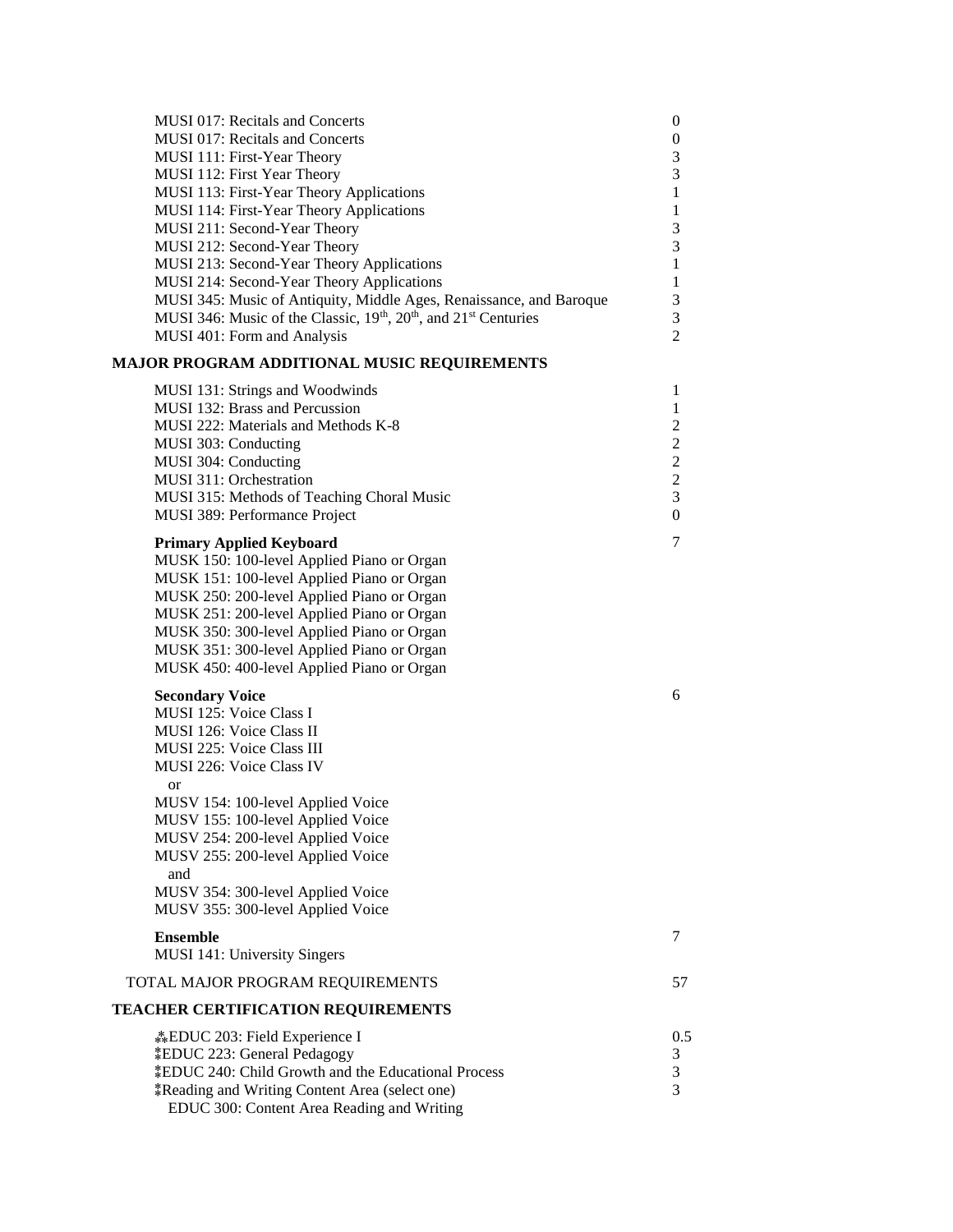| <b>MUSI 017: Recitals and Concerts</b><br><b>MUSI 017: Recitals and Concerts</b><br>MUSI 111: First-Year Theory<br>MUSI 112: First Year Theory<br>MUSI 113: First-Year Theory Applications<br>MUSI 114: First-Year Theory Applications<br>MUSI 211: Second-Year Theory<br>MUSI 212: Second-Year Theory                                                                            | $\theta$<br>$\boldsymbol{0}$<br>3<br>3<br>$\mathbf{1}$<br>1<br>3<br>3                                              |
|-----------------------------------------------------------------------------------------------------------------------------------------------------------------------------------------------------------------------------------------------------------------------------------------------------------------------------------------------------------------------------------|--------------------------------------------------------------------------------------------------------------------|
| MUSI 213: Second-Year Theory Applications<br>MUSI 214: Second-Year Theory Applications<br>MUSI 345: Music of Antiquity, Middle Ages, Renaissance, and Baroque<br>MUSI 346: Music of the Classic, 19th, 20th, and 21st Centuries<br>MUSI 401: Form and Analysis                                                                                                                    | $\mathbf{1}$<br>$\mathbf{1}$<br>3<br>3<br>$\overline{c}$                                                           |
| MAJOR PROGRAM ADDITIONAL MUSIC REQUIREMENTS                                                                                                                                                                                                                                                                                                                                       |                                                                                                                    |
| MUSI 131: Strings and Woodwinds<br>MUSI 132: Brass and Percussion<br>MUSI 222: Materials and Methods K-8<br>MUSI 303: Conducting<br>MUSI 304: Conducting<br>MUSI 311: Orchestration<br>MUSI 315: Methods of Teaching Choral Music<br>MUSI 389: Performance Project                                                                                                                | 1<br>1<br>$\overline{c}$<br>$\mathbf{2}$<br>$\overline{c}$<br>$\overline{c}$<br>$\overline{3}$<br>$\boldsymbol{0}$ |
| <b>Primary Applied Keyboard</b><br>MUSK 150: 100-level Applied Piano or Organ<br>MUSK 151: 100-level Applied Piano or Organ<br>MUSK 250: 200-level Applied Piano or Organ<br>MUSK 251: 200-level Applied Piano or Organ<br>MUSK 350: 300-level Applied Piano or Organ<br>MUSK 351: 300-level Applied Piano or Organ<br>MUSK 450: 400-level Applied Piano or Organ                 | 7                                                                                                                  |
| <b>Secondary Voice</b><br>MUSI 125: Voice Class I<br>MUSI 126: Voice Class II<br>MUSI 225: Voice Class III<br>MUSI 226: Voice Class IV<br>or<br>MUSV 154: 100-level Applied Voice<br>MUSV 155: 100-level Applied Voice<br>MUSV 254: 200-level Applied Voice<br>MUSV 255: 200-level Applied Voice<br>and<br>MUSV 354: 300-level Applied Voice<br>MUSV 355: 300-level Applied Voice | 6                                                                                                                  |
| <b>Ensemble</b><br>MUSI 141: University Singers                                                                                                                                                                                                                                                                                                                                   | 7                                                                                                                  |
| TOTAL MAJOR PROGRAM REQUIREMENTS                                                                                                                                                                                                                                                                                                                                                  | 57                                                                                                                 |
| <b>TEACHER CERTIFICATION REQUIREMENTS</b>                                                                                                                                                                                                                                                                                                                                         |                                                                                                                    |
| <b>EDUC</b> 203: Field Experience I<br><i>EDUC 223:</i> General Pedagogy<br><i><b>‡EDUC 240: Child Growth and the Educational Process</b></i><br><i>k</i> Reading and Writing Content Area (select one)<br>EDUC 300: Content Area Reading and Writing                                                                                                                             | 0.5<br>3<br>3<br>3                                                                                                 |